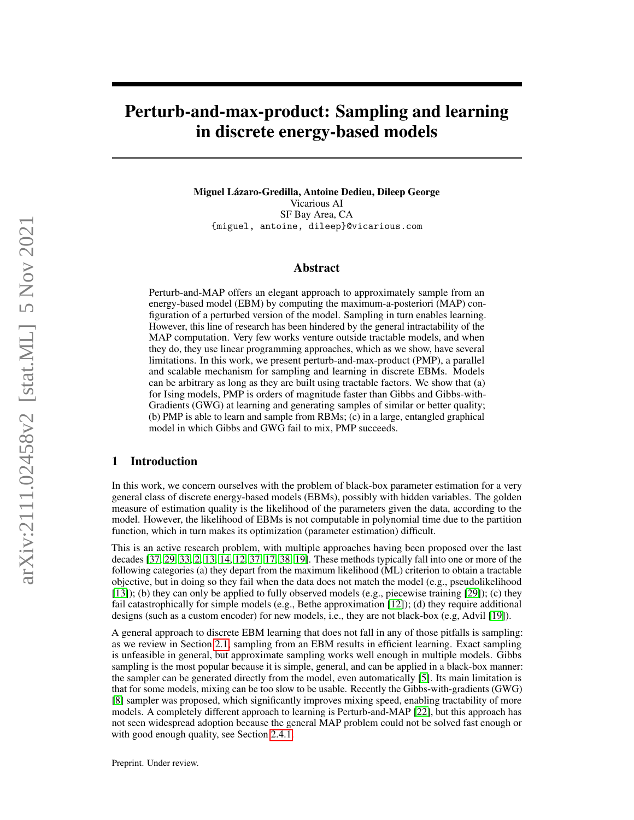# Perturb-and-max-product: Sampling and learning in discrete energy-based models

Miguel Lázaro-Gredilla, Antoine Dedieu, Dileep George Vicarious AI SF Bay Area, CA {miguel, antoine, dileep}@vicarious.com

# Abstract

Perturb-and-MAP offers an elegant approach to approximately sample from an energy-based model (EBM) by computing the maximum-a-posteriori (MAP) configuration of a perturbed version of the model. Sampling in turn enables learning. However, this line of research has been hindered by the general intractability of the MAP computation. Very few works venture outside tractable models, and when they do, they use linear programming approaches, which as we show, have several limitations. In this work, we present perturb-and-max-product (PMP), a parallel and scalable mechanism for sampling and learning in discrete EBMs. Models can be arbitrary as long as they are built using tractable factors. We show that (a) for Ising models, PMP is orders of magnitude faster than Gibbs and Gibbs-with-Gradients (GWG) at learning and generating samples of similar or better quality; (b) PMP is able to learn and sample from RBMs; (c) in a large, entangled graphical model in which Gibbs and GWG fail to mix, PMP succeeds.

# 1 Introduction

In this work, we concern ourselves with the problem of black-box parameter estimation for a very general class of discrete energy-based models (EBMs), possibly with hidden variables. The golden measure of estimation quality is the likelihood of the parameters given the data, according to the model. However, the likelihood of EBMs is not computable in polynomial time due to the partition function, which in turn makes its optimization (parameter estimation) difficult.

This is an active research problem, with multiple approaches having been proposed over the last decades [\[37,](#page-11-0) [29,](#page-11-1) [33,](#page-11-2) [2,](#page-10-0) [13,](#page-10-1) [14,](#page-10-2) [12,](#page-10-3) [37,](#page-11-0) [17,](#page-10-4) [38,](#page-11-3) [19\]](#page-11-4). These methods typically fall into one or more of the following categories (a) they depart from the maximum likelihood (ML) criterion to obtain a tractable objective, but in doing so they fail when the data does not match the model (e.g., pseudolikelihood [\[13\]](#page-10-1)); (b) they can only be applied to fully observed models (e.g., piecewise training [\[29\]](#page-11-1)); (c) they fail catastrophically for simple models (e.g., Bethe approximation [\[12\]](#page-10-3)); (d) they require additional designs (such as a custom encoder) for new models, i.e., they are not black-box (e.g, Advil [\[19\]](#page-11-4)).

A general approach to discrete EBM learning that does not fall in any of those pitfalls is sampling: as we review in Section [2.1,](#page-1-0) sampling from an EBM results in efficient learning. Exact sampling is unfeasible in general, but approximate sampling works well enough in multiple models. Gibbs sampling is the most popular because it is simple, general, and can be applied in a black-box manner: the sampler can be generated directly from the model, even automatically [\[5\]](#page-10-5). Its main limitation is that for some models, mixing can be too slow to be usable. Recently the Gibbs-with-gradients (GWG) [\[8\]](#page-10-6) sampler was proposed, which significantly improves mixing speed, enabling tractability of more models. A completely different approach to learning is Perturb-and-MAP [\[22\]](#page-11-5), but this approach has not seen widespread adoption because the general MAP problem could not be solved fast enough or with good enough quality, see Section [2.4.1.](#page-3-0)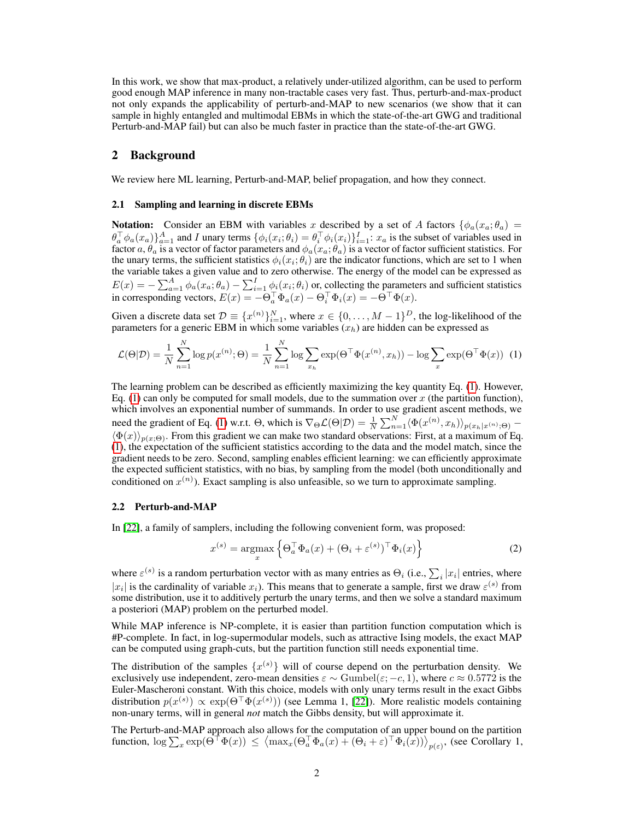In this work, we show that max-product, a relatively under-utilized algorithm, can be used to perform good enough MAP inference in many non-tractable cases very fast. Thus, perturb-and-max-product not only expands the applicability of perturb-and-MAP to new scenarios (we show that it can sample in highly entangled and multimodal EBMs in which the state-of-the-art GWG and traditional Perturb-and-MAP fail) but can also be much faster in practice than the state-of-the-art GWG.

## 2 Background

We review here ML learning, Perturb-and-MAP, belief propagation, and how they connect.

#### <span id="page-1-0"></span>2.1 Sampling and learning in discrete EBMs

**Notation:** Consider an EBM with variables x described by a set of A factors  $\{\phi_a(x_a;\theta_a)$  $\theta_a^{\top} \phi_a(x_a) \}_{a=1}^A$  and I unary terms  $\{\phi_i(x_i;\theta_i) = \theta_i^{\top} \phi_i(x_i)\}_{i=1}^I$ :  $x_a$  is the subset of variables used in factor  $a, \theta_a$  is a vector of factor parameters and  $\phi_a(x_a;\theta_a)$  is a vector of factor sufficient statistics. For the unary terms, the sufficient statistics  $\phi_i(x_i; \theta_i)$  are the indicator functions, which are set to 1 when the variable takes a given value and to zero otherwise. The energy of the model can be expressed as  $E(x) = -\sum_{a=1}^{A} \phi_a(x_a; \theta_a) - \sum_{i=1}^{I} \phi_i(x_i; \theta_i)$  or, collecting the parameters and sufficient statistics in corresponding vectors,  $E(x) = -\Theta_a^{\top} \Phi_a(x) - \Theta_i^{\top} \Phi_i(x) = -\Theta^{\top} \Phi(x)$ .

Given a discrete data set  $\mathcal{D} \equiv \{x^{(n)}\}_{i=1}^N$ , where  $x \in \{0, \ldots, M-1\}^D$ , the log-likelihood of the parameters for a generic EBM in which some variables  $(x_h)$  are hidden can be expressed as

$$
\mathcal{L}(\Theta|\mathcal{D}) = \frac{1}{N} \sum_{n=1}^{N} \log p(x^{(n)}; \Theta) = \frac{1}{N} \sum_{n=1}^{N} \log \sum_{x_h} \exp(\Theta^{\top} \Phi(x^{(n)}, x_h)) - \log \sum_{x} \exp(\Theta^{\top} \Phi(x)) \tag{1}
$$

The learning problem can be described as efficiently maximizing the key quantity Eq. [\(1\)](#page-1-1). However, Eq. [\(1\)](#page-1-1) can only be computed for small models, due to the summation over  $x$  (the partition function), which involves an exponential number of summands. In order to use gradient ascent methods, we need the gradient of Eq. [\(1\)](#page-1-1) w.r.t.  $\Theta$ , which is  $\nabla_{\Theta} \mathcal{L}(\Theta|\mathcal{D}) = \frac{1}{N} \sum_{n=1}^{N} \langle \Phi(x^{(n)}, x_h) \rangle_{p(x_h|x^{(n)};\Theta)}$  $\langle \Phi(x) \rangle_{p(x;\Theta)}$ . From this gradient we can make two standard observations: First, at a maximum of Eq. [\(1\)](#page-1-1), the expectation of the sufficient statistics according to the data and the model match, since the gradient needs to be zero. Second, sampling enables efficient learning: we can efficiently approximate the expected sufficient statistics, with no bias, by sampling from the model (both unconditionally and conditioned on  $x^{(n)}$ ). Exact sampling is also unfeasible, so we turn to approximate sampling.

#### 2.2 Perturb-and-MAP

In [\[22\]](#page-11-5), a family of samplers, including the following convenient form, was proposed:

<span id="page-1-2"></span><span id="page-1-1"></span>
$$
x^{(s)} = \underset{x}{\operatorname{argmax}} \left\{ \Theta_a^{\top} \Phi_a(x) + (\Theta_i + \varepsilon^{(s)})^{\top} \Phi_i(x) \right\} \tag{2}
$$

where  $\varepsilon^{(s)}$  is a random perturbation vector with as many entries as  $\Theta_i$  (i.e.,  $\sum_i |x_i|$  entries, where |x<sub>i</sub>| is the cardinality of variable  $x_i$ ). This means that to generate a sample, first we draw  $\varepsilon^{(s)}$  from some distribution, use it to additively perturb the unary terms, and then we solve a standard maximum a posteriori (MAP) problem on the perturbed model.

While MAP inference is NP-complete, it is easier than partition function computation which is #P-complete. In fact, in log-supermodular models, such as attractive Ising models, the exact MAP can be computed using graph-cuts, but the partition function still needs exponential time.

The distribution of the samples  $\{x^{(s)}\}$  will of course depend on the perturbation density. We exclusively use independent, zero-mean densities  $\varepsilon \sim \text{Gumbel}(\varepsilon; -c, 1)$ , where  $c \approx 0.5772$  is the Euler-Mascheroni constant. With this choice, models with only unary terms result in the exact Gibbs distribution  $p(x^{(s)}) \propto \exp(\Theta^\top \Phi(x^{(s)}))$  (see Lemma 1, [\[22\]](#page-11-5)). More realistic models containing non-unary terms, will in general *not* match the Gibbs density, but will approximate it.

The Perturb-and-MAP approach also allows for the computation of an upper bound on the partition function,  $\log \sum_{x} \exp(\Theta^{\top} \Phi(x)) \leq \left\langle \max_{x} (\Theta_a^{\top} \Phi_a(x) + (\Theta_i + \varepsilon)^{\top} \Phi_i(x)) \right\rangle_{p(\varepsilon)},$  (see Corollary 1,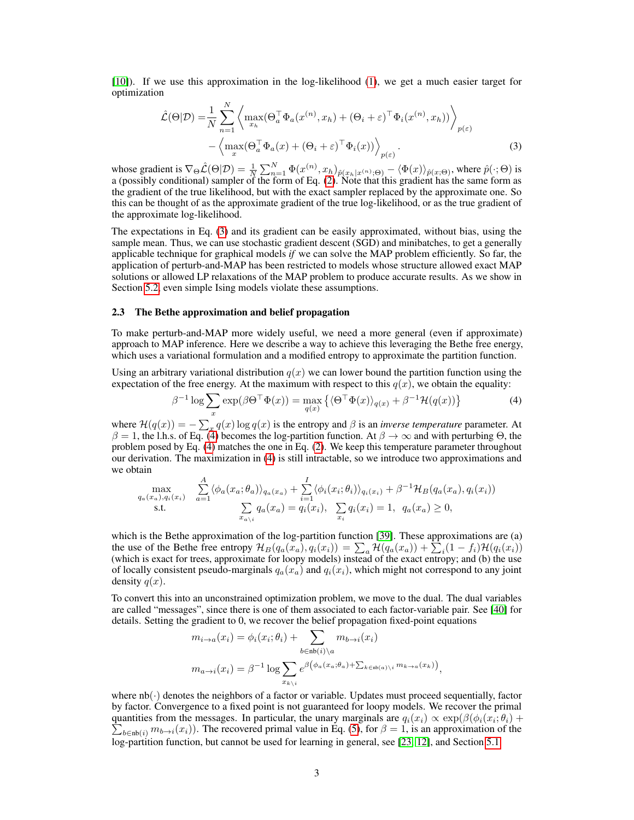[\[10\]](#page-10-7)). If we use this approximation in the log-likelihood [\(1\)](#page-1-1), we get a much easier target for optimization

<span id="page-2-0"></span>
$$
\hat{\mathcal{L}}(\Theta|\mathcal{D}) = \frac{1}{N} \sum_{n=1}^{N} \left\langle \max_{x_h} (\Theta_a^{\top} \Phi_a(x^{(n)}, x_h) + (\Theta_i + \varepsilon)^{\top} \Phi_i(x^{(n)}, x_h)) \right\rangle_{p(\varepsilon)} \n- \left\langle \max_x (\Theta_a^{\top} \Phi_a(x) + (\Theta_i + \varepsilon)^{\top} \Phi_i(x)) \right\rangle_{p(\varepsilon)}.
$$
\n(3)

whose gradient is  $\nabla_{\Theta} \hat{\mathcal{L}}(\Theta|\mathcal{D}) = \frac{1}{N} \sum_{n=1}^{N} \Phi(x^{(n)}_-, x_h)_{\hat{p}(x_h|x^{(n)},\Theta)} - \langle \Phi(x) \rangle_{\hat{p}(x;\Theta)}$ , where  $\hat{p}(\cdot;\Theta)$  is a (possibly conditional) sampler of the form of Eq. [\(2\)](#page-1-2). Note that this gradient has the same form as the gradient of the true likelihood, but with the exact sampler replaced by the approximate one. So this can be thought of as the approximate gradient of the true log-likelihood, or as the true gradient of the approximate log-likelihood.

The expectations in Eq. [\(3\)](#page-2-0) and its gradient can be easily approximated, without bias, using the sample mean. Thus, we can use stochastic gradient descent (SGD) and minibatches, to get a generally applicable technique for graphical models *if* we can solve the MAP problem efficiently. So far, the application of perturb-and-MAP has been restricted to models whose structure allowed exact MAP solutions or allowed LP relaxations of the MAP problem to produce accurate results. As we show in Section [5.2,](#page-5-0) even simple Ising models violate these assumptions.

#### 2.3 The Bethe approximation and belief propagation

To make perturb-and-MAP more widely useful, we need a more general (even if approximate) approach to MAP inference. Here we describe a way to achieve this leveraging the Bethe free energy, which uses a variational formulation and a modified entropy to approximate the partition function.

Using an arbitrary variational distribution  $q(x)$  we can lower bound the partition function using the expectation of the free energy. At the maximum with respect to this  $q(x)$ , we obtain the equality:

<span id="page-2-1"></span>
$$
\beta^{-1} \log \sum_{x} \exp(\beta \Theta^{\top} \Phi(x)) = \max_{q(x)} \left\{ \langle \Theta^{\top} \Phi(x) \rangle_{q(x)} + \beta^{-1} \mathcal{H}(q(x)) \right\} \tag{4}
$$

where  $\mathcal{H}(q(x)) = -\sum_{x} q(x) \log q(x)$  is the entropy and  $\beta$  is an *inverse temperature* parameter. At  $\beta = 1$ , the l.h.s. of Eq. [\(4\)](#page-2-1) becomes the log-partition function. At  $\beta \to \infty$  and with perturbing  $\Theta$ , the problem posed by Eq. [\(4\)](#page-2-1) matches the one in Eq. [\(2\)](#page-1-2). We keep this temperature parameter throughout our derivation. The maximization in [\(4\)](#page-2-1) is still intractable, so we introduce two approximations and we obtain

<span id="page-2-2"></span>
$$
\max_{q_a(x_a), q_i(x_i)} \sum_{a=1}^A \langle \phi_a(x_a; \theta_a) \rangle_{q_a(x_a)} + \sum_{i=1}^I \langle \phi_i(x_i; \theta_i) \rangle_{q_i(x_i)} + \beta^{-1} \mathcal{H}_B(q_a(x_a), q_i(x_i))
$$
  
s.t. 
$$
\sum_{x_{a\setminus i}} q_a(x_a) = q_i(x_i), \sum_{x_i} q_i(x_i) = 1, q_a(x_a) \ge 0,
$$

which is the Bethe approximation of the log-partition function [\[39\]](#page-12-0). These approximations are (a) the use of the Bethe free entropy  $\mathcal{H}_B(q_a(x_a), q_i(x_i)) = \sum_a \mathcal{H}(q_a(x_a)) + \sum_i (1 - f_i)\mathcal{H}(q_i(x_i))$ (which is exact for trees, approximate for loopy models) instead of the exact entropy; and (b) the use of locally consistent pseudo-marginals  $q_a(x_a)$  and  $q_i(x_i)$ , which might not correspond to any joint density  $q(x)$ .

To convert this into an unconstrained optimization problem, we move to the dual. The dual variables are called "messages", since there is one of them associated to each factor-variable pair. See [\[40\]](#page-12-1) for details. Setting the gradient to 0, we recover the belief propagation fixed-point equations

$$
m_{i \to a}(x_i) = \phi_i(x_i; \theta_i) + \sum_{b \in \text{nb}(i) \setminus a} m_{b \to i}(x_i)
$$
  

$$
m_{a \to i}(x_i) = \beta^{-1} \log \sum_{x_{k \setminus i}} e^{\beta \left(\phi_a(x_a; \theta_a) + \sum_{k \in \text{nb}(a) \setminus i} m_{k \to a}(x_k)\right)},
$$

where  $nb(\cdot)$  denotes the neighbors of a factor or variable. Updates must proceed sequentially, factor by factor. Convergence to a fixed point is not guaranteed for loopy models. We recover the primal quantities from the messages. In particular, the unary marginals are  $q_i(x_i) \propto \exp(\beta(\phi_i(x_i;\theta_i)) +$  $\sum_{b \in nb(i)} m_{b \to i}(x_i)$ ). The recovered primal value in Eq. [\(5\)](#page-2-2), for  $\beta = 1$ , is an approximation of the log-partition function, but cannot be used for learning in general, see [\[23,](#page-11-6) [12\]](#page-10-3), and Section [5.1.](#page-5-1)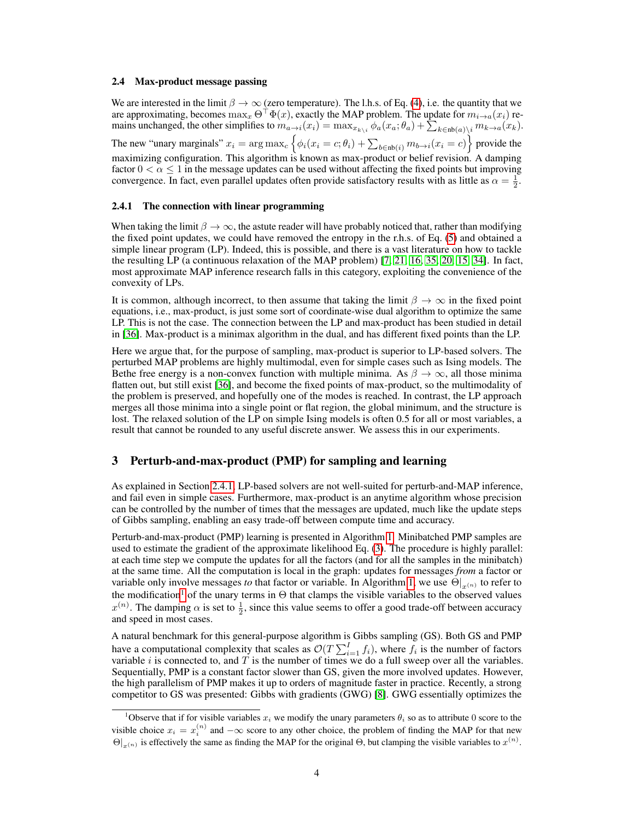#### 2.4 Max-product message passing

We are interested in the limit  $\beta \to \infty$  (zero temperature). The l.h.s. of Eq. [\(4\)](#page-2-1), i.e. the quantity that we are approximating, becomes  $\max_x \Theta^{\top} \Phi(x)$ , exactly the MAP problem. The update for  $m_{i\to a}(x_i)$  remains unchanged, the other simplifies to  $m_{a\to i}(x_i) = \max_{x_{k\setminus i}} \phi_a(x_a; \theta_a) + \sum_{k \in nb(a)\setminus i} m_{k\to a}(x_k)$ . The new "unary marginals"  $x_i = \arg \max_c \left\{ \phi_i(x_i = c; \theta_i) + \sum_{b \in nb(i)} m_{b \to i}(x_i = c) \right\}$  provide the maximizing configuration. This algorithm is known as max-product or belief revision. A damping factor  $0 < \alpha \leq 1$  in the message updates can be used without affecting the fixed points but improving convergence. In fact, even parallel updates often provide satisfactory results with as little as  $\alpha = \frac{1}{2}$ .

#### <span id="page-3-0"></span>2.4.1 The connection with linear programming

When taking the limit  $\beta \to \infty$ , the astute reader will have probably noticed that, rather than modifying the fixed point updates, we could have removed the entropy in the r.h.s. of Eq. [\(5\)](#page-2-2) and obtained a simple linear program (LP). Indeed, this is possible, and there is a vast literature on how to tackle the resulting LP (a continuous relaxation of the MAP problem) [\[7,](#page-10-8) [21,](#page-11-7) [16,](#page-10-9) [35,](#page-11-8) [20,](#page-11-9) [15,](#page-10-10) [34\]](#page-11-10). In fact, most approximate MAP inference research falls in this category, exploiting the convenience of the convexity of LPs.

It is common, although incorrect, to then assume that taking the limit  $\beta \to \infty$  in the fixed point equations, i.e., max-product, is just some sort of coordinate-wise dual algorithm to optimize the same LP. This is not the case. The connection between the LP and max-product has been studied in detail in [\[36\]](#page-11-11). Max-product is a minimax algorithm in the dual, and has different fixed points than the LP.

Here we argue that, for the purpose of sampling, max-product is superior to LP-based solvers. The perturbed MAP problems are highly multimodal, even for simple cases such as Ising models. The Bethe free energy is a non-convex function with multiple minima. As  $\beta \to \infty$ , all those minima flatten out, but still exist [\[36\]](#page-11-11), and become the fixed points of max-product, so the multimodality of the problem is preserved, and hopefully one of the modes is reached. In contrast, the LP approach merges all those minima into a single point or flat region, the global minimum, and the structure is lost. The relaxed solution of the LP on simple Ising models is often 0.5 for all or most variables, a result that cannot be rounded to any useful discrete answer. We assess this in our experiments.

# <span id="page-3-2"></span>3 Perturb-and-max-product (PMP) for sampling and learning

As explained in Section [2.4.1,](#page-3-0) LP-based solvers are not well-suited for perturb-and-MAP inference, and fail even in simple cases. Furthermore, max-product is an anytime algorithm whose precision can be controlled by the number of times that the messages are updated, much like the update steps of Gibbs sampling, enabling an easy trade-off between compute time and accuracy.

Perturb-and-max-product (PMP) learning is presented in Algorithm [1.](#page-4-0) Minibatched PMP samples are used to estimate the gradient of the approximate likelihood Eq. [\(3\)](#page-2-0). The procedure is highly parallel: at each time step we compute the updates for all the factors (and for all the samples in the minibatch) at the same time. All the computation is local in the graph: updates for messages *from* a factor or variable only involve messages *to* that factor or variable. In Algorithm [1,](#page-4-0) we use  $\Theta|_{x^{(n)}}$  to refer to the modification<sup>[1](#page-3-1)</sup> of the unary terms in  $\Theta$  that clamps the visible variables to the observed values  $x^{(n)}$ . The damping  $\alpha$  is set to  $\frac{1}{2}$ , since this value seems to offer a good trade-off between accuracy and speed in most cases.

A natural benchmark for this general-purpose algorithm is Gibbs sampling (GS). Both GS and PMP have a computational complexity that scales as  $\mathcal{O}(T\sum_{i=1}^{I}f_i)$ , where  $f_i$  is the number of factors variable i is connected to, and T is the number of times we do a full sweep over all the variables. Sequentially, PMP is a constant factor slower than GS, given the more involved updates. However, the high parallelism of PMP makes it up to orders of magnitude faster in practice. Recently, a strong competitor to GS was presented: Gibbs with gradients (GWG) [\[8\]](#page-10-6). GWG essentially optimizes the

<span id="page-3-1"></span><sup>&</sup>lt;sup>1</sup>Observe that if for visible variables  $x_i$  we modify the unary parameters  $\theta_i$  so as to attribute 0 score to the visible choice  $x_i = x_i^{(n)}$  and  $-\infty$  score to any other choice, the problem of finding the MAP for that new  $\Theta|_{x^{(n)}}$  is effectively the same as finding the MAP for the original  $\Theta$ , but clamping the visible variables to  $x^{(n)}$ .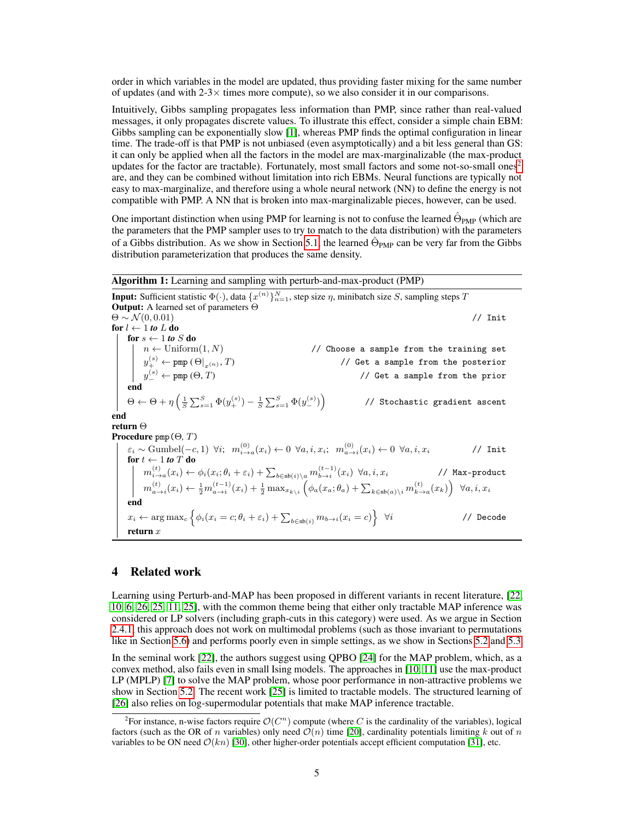order in which variables in the model are updated, thus providing faster mixing for the same number of updates (and with  $2-3\times$  times more compute), so we also consider it in our comparisons.

Intuitively, Gibbs sampling propagates less information than PMP, since rather than real-valued messages, it only propagates discrete values. To illustrate this effect, consider a simple chain EBM: Gibbs sampling can be exponentially slow [\[1\]](#page-10-11), whereas PMP finds the optimal configuration in linear time. The trade-off is that PMP is not unbiased (even asymptotically) and a bit less general than GS: it can only be applied when all the factors in the model are max-marginalizable (the max-product updates for the factor are tractable). Fortunately, most small factors and some not-so-small ones<sup>[2](#page-4-1)</sup> are, and they can be combined without limitation into rich EBMs. Neural functions are typically not easy to max-marginalize, and therefore using a whole neural network (NN) to define the energy is not compatible with PMP. A NN that is broken into max-marginalizable pieces, however, can be used.

One important distinction when using PMP for learning is not to confuse the learned  $\hat{\Theta}_{\text{PMP}}$  (which are the parameters that the PMP sampler uses to try to match to the data distribution) with the parameters of a Gibbs distribution. As we show in Section [5.1,](#page-5-1) the learned  $\hat{\Theta}_{\text{PMP}}$  can be very far from the Gibbs distribution parameterization that produces the same density.

Algorithm 1: Learning and sampling with perturb-and-max-product (PMP) **Input:** Sufficient statistic  $\Phi(\cdot)$ , data  $\{x^{(n)}\}_{n=1}^N$ , step size  $\eta$ , minibatch size S, sampling steps T Output: A learned set of parameters Θ  $\Theta \sim \mathcal{N}(0, 0.01)$  // Init for  $l \leftarrow 1$  to L do for  $s \leftarrow 1$  to  $S$  do  $n \leftarrow \text{Uniform}(1, N)$  // Choose a sample from the training set  $y_{+}^{(s)} \leftarrow \texttt{pmp} \left( \Theta|_{x^{(n)}}, T \right) \hspace{2.5cm} \textit{ // Get a sample from the posterior}$  $y_{-}^{(s)} \leftarrow$  pmp (Θ, Τ)  $\hspace{2cm}$  // Get a sample from the prior end  $\Theta \leftarrow \Theta + \eta \left( \frac{1}{S} \sum_{s=1}^S \Phi(y_+^{(s)}) - \frac{1}{S} \sum_{s=1}^S \Phi(y_-^{(s)}) \right)$  // Stochastic gradient ascent end return Θ Procedure pmp(Θ*,* T)  $\varepsilon_i \sim \text{Gumbel}(-c,1) \enskip \forall i; \enskip m_{i \to a}^{(0)}(x_i) \leftarrow 0 \enskip \forall a,i,x_i; \enskip m_{a \to i}^{(0)}(x_i) \leftarrow 0 \enskip \forall a,i,x_i \qquad \qquad \text{/} \text{/}\; \text{Init}$ for  $t \leftarrow 1$  *to*  $T$  do  $m_{i\to a}^{(t)}(x_i)\leftarrow \phi_i(x_i;\theta_i+\varepsilon_i)+\sum_{b\in \text{nb}(i)\setminus a}m_{b\to i}^{(t-1)}(x_i) \:\: \forall a,i,x_i$  // Max-product  $m_{a\to i}^{(t)}(x_i) \leftarrow \frac{1}{2}m_{a\to i}^{(t-1)}(x_i) + \frac{1}{2}\max_{x_{k\setminus i}}\left(\phi_a(x_a;\theta_a) + \sum_{k\in \text{nb}(a)\setminus i}m_{k\to a}^{(t)}(x_k)\right)~~\forall a,i,x_i$ end  $x_i \leftarrow \arg \max_c \left\{ \phi_i(x_i = c; \theta_i + \varepsilon_i) + \sum_{b \in \text{nb}(i)} m_{b \to i}(x_i = c) \right\}$ ∀i // Decode return  $x$ 

# <span id="page-4-0"></span>4 Related work

Learning using Perturb-and-MAP has been proposed in different variants in recent literature, [\[22,](#page-11-5) [10,](#page-10-7) [6,](#page-10-12) [26,](#page-11-12) [25,](#page-11-13) [11,](#page-10-13) [25\]](#page-11-13), with the common theme being that either only tractable MAP inference was considered or LP solvers (including graph-cuts in this category) were used. As we argue in Section [2.4.1,](#page-3-0) this approach does not work on multimodal problems (such as those invariant to permutations like in Section [5.6\)](#page-8-0) and performs poorly even in simple settings, as we show in Sections [5.2](#page-5-0) and [5.3.](#page-6-0)

In the seminal work [\[22\]](#page-11-5), the authors suggest using QPBO [\[24\]](#page-11-14) for the MAP problem, which, as a convex method, also fails even in small Ising models. The approaches in [\[10,](#page-10-7) [11\]](#page-10-13) use the max-product LP (MPLP) [\[7\]](#page-10-8) to solve the MAP problem, whose poor performance in non-attractive problems we show in Section [5.2.](#page-5-0) The recent work [\[25\]](#page-11-13) is limited to tractable models. The structured learning of [\[26\]](#page-11-12) also relies on log-supermodular potentials that make MAP inference tractable.

<span id="page-4-1"></span><sup>&</sup>lt;sup>2</sup> For instance, n-wise factors require  $\mathcal{O}(C^n)$  compute (where C is the cardinality of the variables), logical factors (such as the OR of n variables) only need  $\mathcal{O}(n)$  time [\[20\]](#page-11-9), cardinality potentials limiting k out of n variables to be ON need  $\mathcal{O}(kn)$  [\[30\]](#page-11-15), other higher-order potentials accept efficient computation [\[31\]](#page-11-16), etc.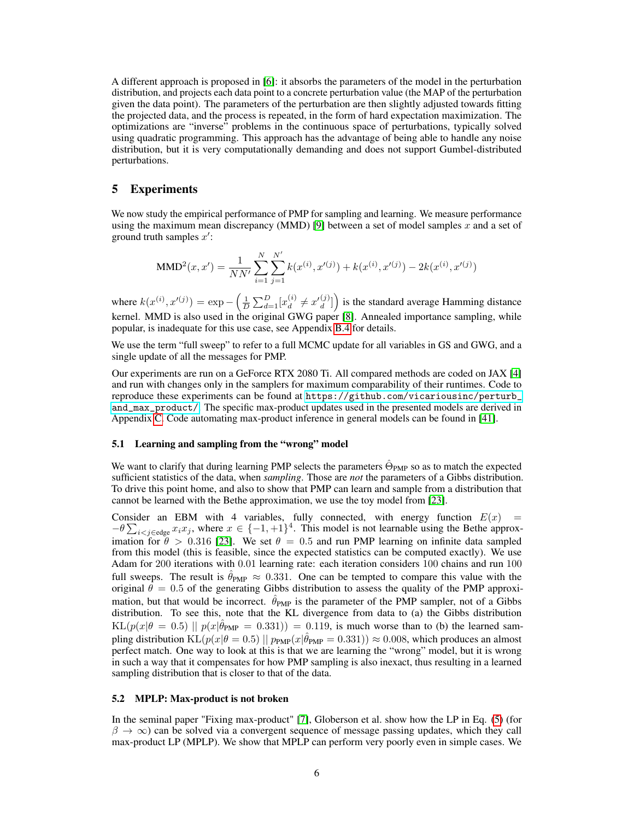A different approach is proposed in [\[6\]](#page-10-12): it absorbs the parameters of the model in the perturbation distribution, and projects each data point to a concrete perturbation value (the MAP of the perturbation given the data point). The parameters of the perturbation are then slightly adjusted towards fitting the projected data, and the process is repeated, in the form of hard expectation maximization. The optimizations are "inverse" problems in the continuous space of perturbations, typically solved using quadratic programming. This approach has the advantage of being able to handle any noise distribution, but it is very computationally demanding and does not support Gumbel-distributed perturbations.

# <span id="page-5-2"></span>5 Experiments

We now study the empirical performance of PMP for sampling and learning. We measure performance using the maximum mean discrepancy (MMD) [\[9\]](#page-10-14) between a set of model samples  $x$  and a set of ground truth samples  $x'$ :

MMD<sup>2</sup>(x, x') = 
$$
\frac{1}{NN'}
$$
  $\sum_{i=1}^{N} \sum_{j=1}^{N'} k(x^{(i)}, x'^{(j)}) + k(x^{(i)}, x'^{(j)}) - 2k(x^{(i)}, x'^{(j)})$ 

where  $k(x^{(i)}, x'^{(j)}) = \exp -\left(\frac{1}{D} \sum_{d=1}^{D} [x_d^{(i)}]\right)$  $\binom{i}{d} \neq x'\binom{j}{d}$  $\begin{bmatrix} (j) \ d \end{bmatrix}$  is the standard average Hamming distance kernel. MMD is also used in the original GWG paper [\[8\]](#page-10-6). Annealed importance sampling, while popular, is inadequate for this use case, see Appendix [B.4](#page-16-0) for details.

We use the term "full sweep" to refer to a full MCMC update for all variables in GS and GWG, and a single update of all the messages for PMP.

Our experiments are run on a GeForce RTX 2080 Ti. All compared methods are coded on JAX [\[4\]](#page-10-15) and run with changes only in the samplers for maximum comparability of their runtimes. Code to reproduce these experiments can be found at [https://github.com/vicariousinc/perturb\\_](https://github.com/vicariousinc/perturb_and_max_product/) [and\\_max\\_product/](https://github.com/vicariousinc/perturb_and_max_product/). The specific max-product updates used in the presented models are derived in Appendix [C.](#page-17-0) Code automating max-product inference in general models can be found in [\[41\]](#page-12-2).

# <span id="page-5-1"></span>5.1 Learning and sampling from the "wrong" model

We want to clarify that during learning PMP selects the parameters  $\hat{\Theta}_{PMP}$  so as to match the expected sufficient statistics of the data, when *sampling*. Those are *not* the parameters of a Gibbs distribution. To drive this point home, and also to show that PMP can learn and sample from a distribution that cannot be learned with the Bethe approximation, we use the toy model from [\[23\]](#page-11-6).

Consider an EBM with 4 variables, fully connected, with energy function  $E(x)$  =  $-\theta \sum_{i < j \in \text{edge}} x_i x_j$ , where  $x \in \{-1, +1\}^4$ . This model is not learnable using the Bethe approximation for  $\theta > 0.316$  [\[23\]](#page-11-6). We set  $\theta = 0.5$  and run PMP learning on infinite data sampled from this model (this is feasible, since the expected statistics can be computed exactly). We use Adam for 200 iterations with 0.01 learning rate: each iteration considers 100 chains and run 100 full sweeps. The result is  $\hat{\theta}_{PMP} \approx 0.331$ . One can be tempted to compare this value with the original  $\hat{\theta} = 0.5$  of the generating Gibbs distribution to assess the quality of the PMP approximation, but that would be incorrect.  $\hat{\theta}_{PMP}$  is the parameter of the PMP sampler, not of a Gibbs distribution. To see this, note that the KL divergence from data to (a) the Gibbs distribution  $KL(p(x|\theta = 0.5) || p(x|\hat{\theta}_{PMP} = 0.331)) = 0.119$ , is much worse than to (b) the learned sampling distribution  $KL(p(x|\theta = 0.5) || p_{PMP}(x|\hat{\theta}_{PMP} = 0.331)) \approx 0.008$ , which produces an almost perfect match. One way to look at this is that we are learning the "wrong" model, but it is wrong in such a way that it compensates for how PMP sampling is also inexact, thus resulting in a learned sampling distribution that is closer to that of the data.

#### <span id="page-5-0"></span>5.2 MPLP: Max-product is not broken

In the seminal paper "Fixing max-product" [\[7\]](#page-10-8), Globerson et al. show how the LP in Eq. [\(5\)](#page-2-2) (for  $\beta \to \infty$ ) can be solved via a convergent sequence of message passing updates, which they call max-product LP (MPLP). We show that MPLP can perform very poorly even in simple cases. We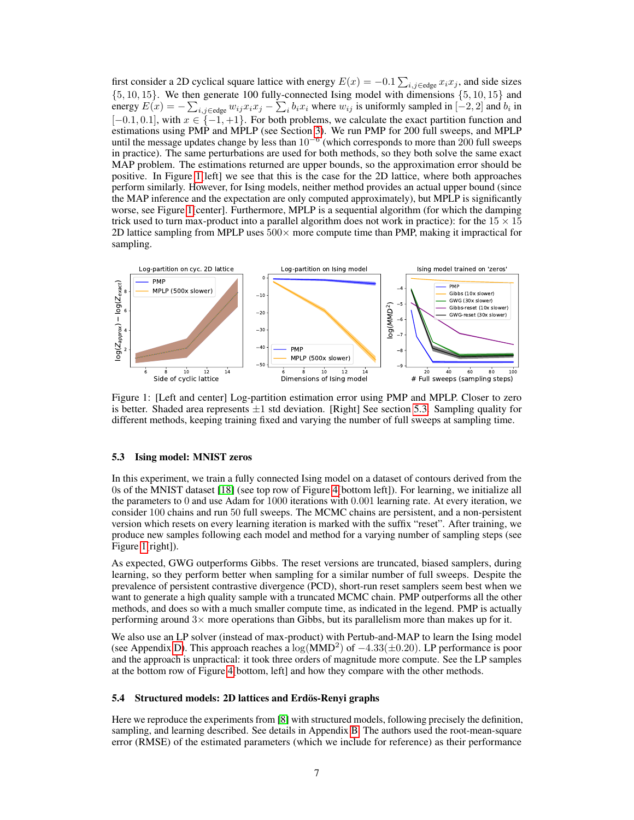first consider a 2D cyclical square lattice with energy  $E(x) = -0.1 \sum_{i,j \in \text{edge}} x_i x_j$ , and side sizes  $\{5, 10, 15\}$ . We then generate 100 fully-connected Ising model with dimensions  $\{5, 10, 15\}$  and energy  $E(x) = -\sum_{i,j \in \text{edge}} w_{ij} x_i x_j - \sum_i b_i x_i$  where  $w_{ij}$  is uniformly sampled in  $[-2,2]$  and  $b_i$  in  $[-0.1, 0.1]$ , with  $x \in \{-1, +1\}$ . For both problems, we calculate the exact partition function and estimations using PMP and MPLP (see Section [3\)](#page-3-2). We run PMP for 200 full sweeps, and MPLP until the message updates change by less than  $10^{-6}$  (which corresponds to more than 200 full sweeps in practice). The same perturbations are used for both methods, so they both solve the same exact MAP problem. The estimations returned are upper bounds, so the approximation error should be positive. In Figure [1\[](#page-6-1)left] we see that this is the case for the 2D lattice, where both approaches perform similarly. However, for Ising models, neither method provides an actual upper bound (since the MAP inference and the expectation are only computed approximately), but MPLP is significantly worse, see Figure [1\[](#page-6-1)center]. Furthermore, MPLP is a sequential algorithm (for which the damping trick used to turn max-product into a parallel algorithm does not work in practice): for the  $15 \times 15$ 2D lattice sampling from MPLP uses  $500 \times$  more compute time than PMP, making it impractical for sampling.

<span id="page-6-1"></span>

Figure 1: [Left and center] Log-partition estimation error using PMP and MPLP. Closer to zero is better. Shaded area represents  $\pm 1$  std deviation. [Right] See section [5.3.](#page-6-0) Sampling quality for different methods, keeping training fixed and varying the number of full sweeps at sampling time.

#### <span id="page-6-0"></span>5.3 Ising model: MNIST zeros

In this experiment, we train a fully connected Ising model on a dataset of contours derived from the 0s of the MNIST dataset [\[18\]](#page-10-16) (see top row of Figure [4\[](#page-9-0)bottom left]). For learning, we initialize all the parameters to 0 and use Adam for 1000 iterations with 0.001 learning rate. At every iteration, we consider 100 chains and run 50 full sweeps. The MCMC chains are persistent, and a non-persistent version which resets on every learning iteration is marked with the suffix "reset". After training, we produce new samples following each model and method for a varying number of sampling steps (see Figure [1\[](#page-6-1)right]).

As expected, GWG outperforms Gibbs. The reset versions are truncated, biased samplers, during learning, so they perform better when sampling for a similar number of full sweeps. Despite the prevalence of persistent contrastive divergence (PCD), short-run reset samplers seem best when we want to generate a high quality sample with a truncated MCMC chain. PMP outperforms all the other methods, and does so with a much smaller compute time, as indicated in the legend. PMP is actually performing around  $3\times$  more operations than Gibbs, but its parallelism more than makes up for it.

We also use an LP solver (instead of max-product) with Pertub-and-MAP to learn the Ising model (see Appendix [D\)](#page-19-0). This approach reaches a  $\log(\text{MMD}^2)$  of  $-4.33(\pm 0.20)$ . LP performance is poor and the approach is unpractical: it took three orders of magnitude more compute. See the LP samples at the bottom row of Figure [4\[](#page-9-0)bottom, left] and how they compare with the other methods.

#### <span id="page-6-2"></span>5.4 Structured models: 2D lattices and Erdös-Renyi graphs

Here we reproduce the experiments from [\[8\]](#page-10-6) with structured models, following precisely the definition, sampling, and learning described. See details in Appendix [B.](#page-13-0) The authors used the root-mean-square error (RMSE) of the estimated parameters (which we include for reference) as their performance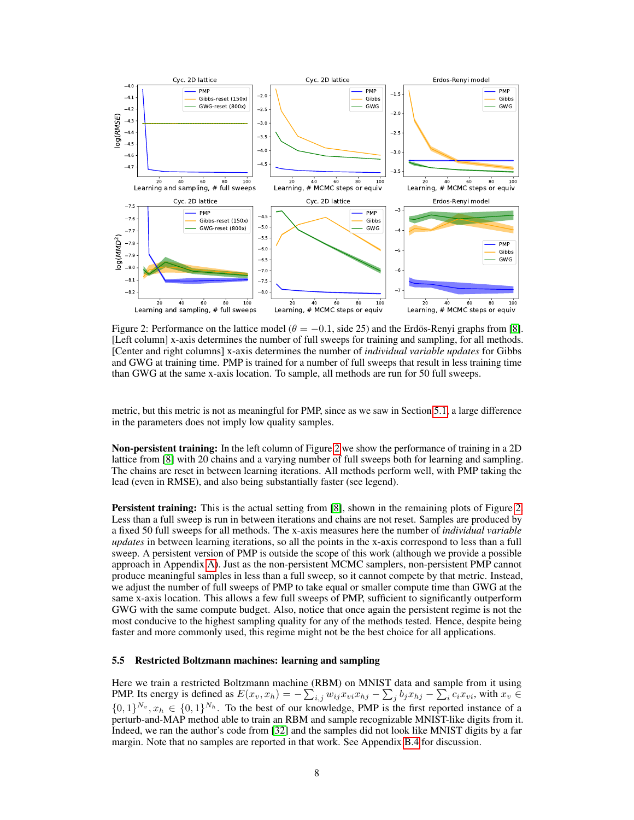<span id="page-7-0"></span>

Figure 2: Performance on the lattice model ( $\theta = -0.1$ , side 25) and the Erdös-Renyi graphs from [\[8\]](#page-10-6). [Left column] x-axis determines the number of full sweeps for training and sampling, for all methods. [Center and right columns] x-axis determines the number of *individual variable updates* for Gibbs and GWG at training time. PMP is trained for a number of full sweeps that result in less training time than GWG at the same x-axis location. To sample, all methods are run for 50 full sweeps.

metric, but this metric is not as meaningful for PMP, since as we saw in Section [5.1,](#page-5-1) a large difference in the parameters does not imply low quality samples.

Non-persistent training: In the left column of Figure [2](#page-7-0) we show the performance of training in a 2D lattice from [\[8\]](#page-10-6) with 20 chains and a varying number of full sweeps both for learning and sampling. The chains are reset in between learning iterations. All methods perform well, with PMP taking the lead (even in RMSE), and also being substantially faster (see legend).

**Persistent training:** This is the actual setting from [\[8\]](#page-10-6), shown in the remaining plots of Figure [2.](#page-7-0) Less than a full sweep is run in between iterations and chains are not reset. Samples are produced by a fixed 50 full sweeps for all methods. The x-axis measures here the number of *individual variable updates* in between learning iterations, so all the points in the x-axis correspond to less than a full sweep. A persistent version of PMP is outside the scope of this work (although we provide a possible approach in Appendix [A\)](#page-13-1). Just as the non-persistent MCMC samplers, non-persistent PMP cannot produce meaningful samples in less than a full sweep, so it cannot compete by that metric. Instead, we adjust the number of full sweeps of PMP to take equal or smaller compute time than GWG at the same x-axis location. This allows a few full sweeps of PMP, sufficient to significantly outperform GWG with the same compute budget. Also, notice that once again the persistent regime is not the most conducive to the highest sampling quality for any of the methods tested. Hence, despite being faster and more commonly used, this regime might not be the best choice for all applications.

#### <span id="page-7-1"></span>5.5 Restricted Boltzmann machines: learning and sampling

Here we train a restricted Boltzmann machine (RBM) on MNIST data and sample from it using PMP. Its energy is defined as  $E(x_v, x_h) = -\sum_{i,j} w_{ij} x_{vi} x_{hj} - \sum_j b_j x_{hj} - \sum_i c_i x_{vi}$ , with  $x_v \in$  $\{0,1\}^{N_v}, x_h \in \{0,1\}^{N_h}$ . To the best of our knowledge, PMP is the first reported instance of a perturb-and-MAP method able to train an RBM and sample recognizable MNIST-like digits from it. Indeed, we ran the author's code from [\[32\]](#page-11-17) and the samples did not look like MNIST digits by a far margin. Note that no samples are reported in that work. See Appendix [B.4](#page-16-0) for discussion.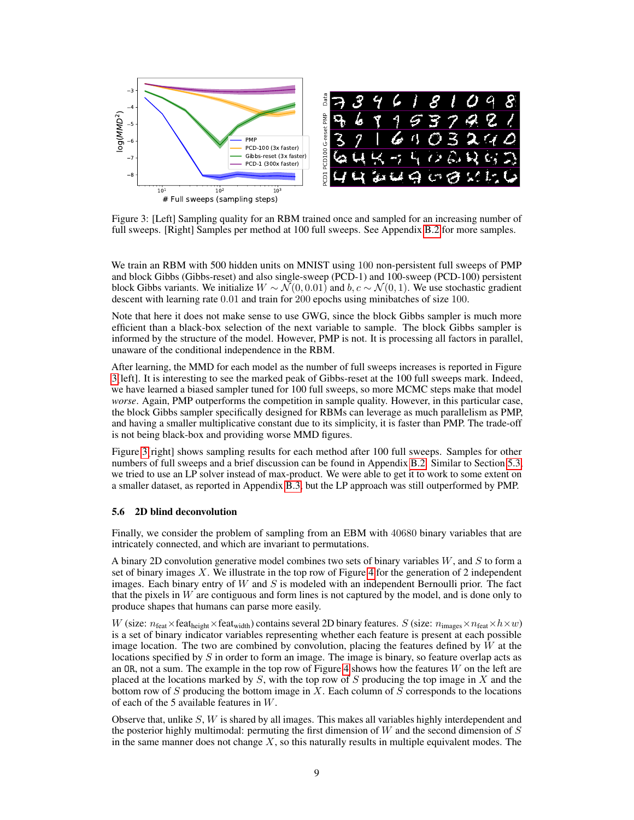<span id="page-8-1"></span>

Figure 3: [Left] Sampling quality for an RBM trained once and sampled for an increasing number of full sweeps. [Right] Samples per method at 100 full sweeps. See Appendix [B.2](#page-15-0) for more samples.

We train an RBM with 500 hidden units on MNIST using 100 non-persistent full sweeps of PMP and block Gibbs (Gibbs-reset) and also single-sweep (PCD-1) and 100-sweep (PCD-100) persistent block Gibbs variants. We initialize  $W \sim \mathcal{N}(0, 0.01)$  and  $b, c \sim \mathcal{N}(0, 1)$ . We use stochastic gradient descent with learning rate 0.01 and train for 200 epochs using minibatches of size 100.

Note that here it does not make sense to use GWG, since the block Gibbs sampler is much more efficient than a black-box selection of the next variable to sample. The block Gibbs sampler is informed by the structure of the model. However, PMP is not. It is processing all factors in parallel, unaware of the conditional independence in the RBM.

After learning, the MMD for each model as the number of full sweeps increases is reported in Figure [3\[](#page-8-1)left]. It is interesting to see the marked peak of Gibbs-reset at the 100 full sweeps mark. Indeed, we have learned a biased sampler tuned for 100 full sweeps, so more MCMC steps make that model *worse*. Again, PMP outperforms the competition in sample quality. However, in this particular case, the block Gibbs sampler specifically designed for RBMs can leverage as much parallelism as PMP, and having a smaller multiplicative constant due to its simplicity, it is faster than PMP. The trade-off is not being black-box and providing worse MMD figures.

Figure [3\[](#page-8-1)right] shows sampling results for each method after 100 full sweeps. Samples for other numbers of full sweeps and a brief discussion can be found in Appendix [B.2.](#page-15-0) Similar to Section [5.3,](#page-6-0) we tried to use an LP solver instead of max-product. We were able to get it to work to some extent on a smaller dataset, as reported in Appendix [B.3,](#page-15-1) but the LP approach was still outperformed by PMP.

## <span id="page-8-0"></span>5.6 2D blind deconvolution

Finally, we consider the problem of sampling from an EBM with 40680 binary variables that are intricately connected, and which are invariant to permutations.

A binary 2D convolution generative model combines two sets of binary variables  $W$ , and  $S$  to form a set of binary images  $X$ . We illustrate in the top row of Figure [4](#page-9-0) for the generation of 2 independent images. Each binary entry of  $W$  and  $S$  is modeled with an independent Bernoulli prior. The fact that the pixels in  $W$  are contiguous and form lines is not captured by the model, and is done only to produce shapes that humans can parse more easily.

W (size:  $n_{\text{feat}} \times \text{feat}_{\text{height}} \times \text{feat}_{\text{width}}$ ) contains several 2D binary features. S (size:  $n_{\text{images}} \times n_{\text{feat}} \times h \times w$ ) is a set of binary indicator variables representing whether each feature is present at each possible image location. The two are combined by convolution, placing the features defined by  $W$  at the locations specified by  $S$  in order to form an image. The image is binary, so feature overlap acts as an OR, not a sum. The example in the top row of Figure [4](#page-9-0) shows how the features  $W$  on the left are placed at the locations marked by  $S$ , with the top row of  $S$  producing the top image in  $X$  and the bottom row of  $S$  producing the bottom image in  $X$ . Each column of  $S$  corresponds to the locations of each of the 5 available features in W.

Observe that, unlike  $S$ ,  $W$  is shared by all images. This makes all variables highly interdependent and the posterior highly multimodal: permuting the first dimension of  $W$  and the second dimension of  $S$ in the same manner does not change  $X$ , so this naturally results in multiple equivalent modes. The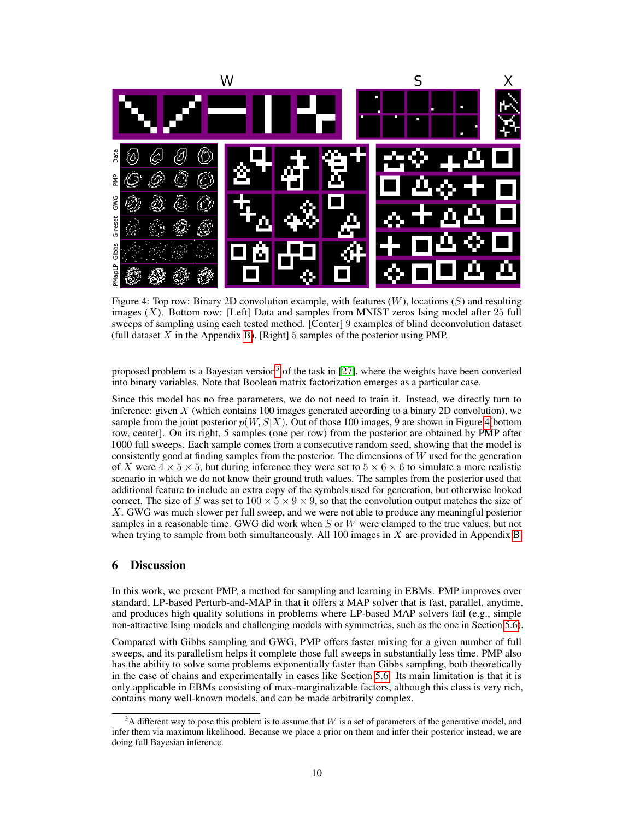<span id="page-9-0"></span>

Figure 4: Top row: Binary 2D convolution example, with features  $(W)$ , locations  $(S)$  and resulting images  $(X)$ . Bottom row: [Left] Data and samples from MNIST zeros Ising model after 25 full sweeps of sampling using each tested method. [Center] 9 examples of blind deconvolution dataset (full dataset  $X$  in the Appendix [B\)](#page-13-0). [Right] 5 samples of the posterior using PMP.

proposed problem is a Bayesian version<sup>[3](#page-9-1)</sup> of the task in [\[27\]](#page-11-18), where the weights have been converted into binary variables. Note that Boolean matrix factorization emerges as a particular case.

Since this model has no free parameters, we do not need to train it. Instead, we directly turn to inference: given X (which contains 100 images generated according to a binary 2D convolution), we sample from the joint posterior  $p(W, S|X)$ . Out of those 100 images, 9 are shown in Figure [4\[](#page-9-0)bottom row, center]. On its right, 5 samples (one per row) from the posterior are obtained by PMP after 1000 full sweeps. Each sample comes from a consecutive random seed, showing that the model is consistently good at finding samples from the posterior. The dimensions of  $W$  used for the generation of X were  $4 \times 5 \times 5$ , but during inference they were set to  $5 \times 6 \times 6$  to simulate a more realistic scenario in which we do not know their ground truth values. The samples from the posterior used that additional feature to include an extra copy of the symbols used for generation, but otherwise looked correct. The size of S was set to  $100 \times 5 \times 9 \times 9$ , so that the convolution output matches the size of X. GWG was much slower per full sweep, and we were not able to produce any meaningful posterior samples in a reasonable time. GWG did work when  $S$  or  $W$  were clamped to the true values, but not when trying to sample from both simultaneously. All 100 images in X are provided in Appendix [B.](#page-13-0)

# 6 Discussion

In this work, we present PMP, a method for sampling and learning in EBMs. PMP improves over standard, LP-based Perturb-and-MAP in that it offers a MAP solver that is fast, parallel, anytime, and produces high quality solutions in problems where LP-based MAP solvers fail (e.g., simple non-attractive Ising models and challenging models with symmetries, such as the one in Section [5.6\)](#page-8-0).

Compared with Gibbs sampling and GWG, PMP offers faster mixing for a given number of full sweeps, and its parallelism helps it complete those full sweeps in substantially less time. PMP also has the ability to solve some problems exponentially faster than Gibbs sampling, both theoretically in the case of chains and experimentally in cases like Section [5.6.](#page-8-0) Its main limitation is that it is only applicable in EBMs consisting of max-marginalizable factors, although this class is very rich, contains many well-known models, and can be made arbitrarily complex.

<span id="page-9-1"></span> $3A$  different way to pose this problem is to assume that W is a set of parameters of the generative model, and infer them via maximum likelihood. Because we place a prior on them and infer their posterior instead, we are doing full Bayesian inference.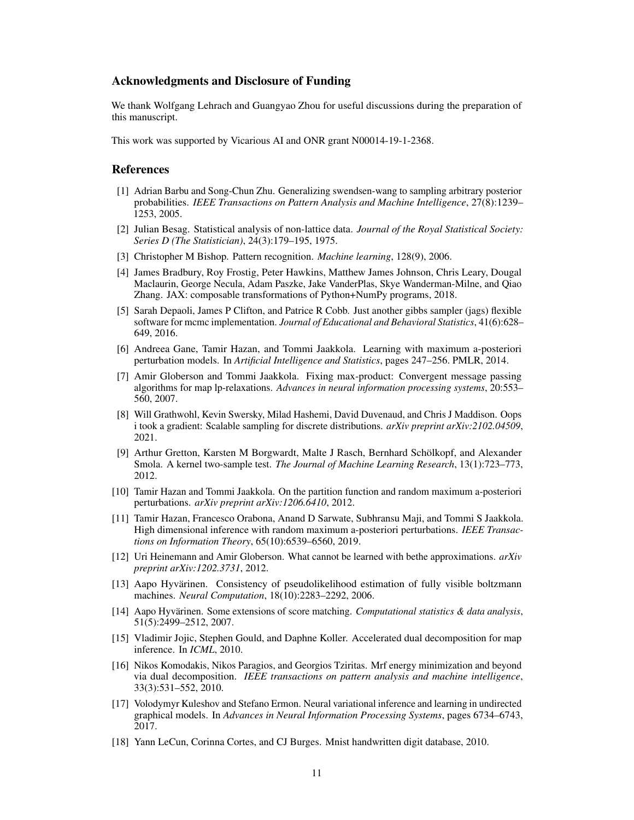# Acknowledgments and Disclosure of Funding

We thank Wolfgang Lehrach and Guangyao Zhou for useful discussions during the preparation of this manuscript.

This work was supported by Vicarious AI and ONR grant N00014-19-1-2368.

# References

- <span id="page-10-11"></span>[1] Adrian Barbu and Song-Chun Zhu. Generalizing swendsen-wang to sampling arbitrary posterior probabilities. *IEEE Transactions on Pattern Analysis and Machine Intelligence*, 27(8):1239– 1253, 2005.
- <span id="page-10-0"></span>[2] Julian Besag. Statistical analysis of non-lattice data. *Journal of the Royal Statistical Society: Series D (The Statistician)*, 24(3):179–195, 1975.
- <span id="page-10-17"></span>[3] Christopher M Bishop. Pattern recognition. *Machine learning*, 128(9), 2006.
- <span id="page-10-15"></span>[4] James Bradbury, Roy Frostig, Peter Hawkins, Matthew James Johnson, Chris Leary, Dougal Maclaurin, George Necula, Adam Paszke, Jake VanderPlas, Skye Wanderman-Milne, and Qiao Zhang. JAX: composable transformations of Python+NumPy programs, 2018.
- <span id="page-10-5"></span>[5] Sarah Depaoli, James P Clifton, and Patrice R Cobb. Just another gibbs sampler (jags) flexible software for mcmc implementation. *Journal of Educational and Behavioral Statistics*, 41(6):628– 649, 2016.
- <span id="page-10-12"></span>[6] Andreea Gane, Tamir Hazan, and Tommi Jaakkola. Learning with maximum a-posteriori perturbation models. In *Artificial Intelligence and Statistics*, pages 247–256. PMLR, 2014.
- <span id="page-10-8"></span>[7] Amir Globerson and Tommi Jaakkola. Fixing max-product: Convergent message passing algorithms for map lp-relaxations. *Advances in neural information processing systems*, 20:553– 560, 2007.
- <span id="page-10-6"></span>[8] Will Grathwohl, Kevin Swersky, Milad Hashemi, David Duvenaud, and Chris J Maddison. Oops i took a gradient: Scalable sampling for discrete distributions. *arXiv preprint arXiv:2102.04509*, 2021.
- <span id="page-10-14"></span>[9] Arthur Gretton, Karsten M Borgwardt, Malte J Rasch, Bernhard Schölkopf, and Alexander Smola. A kernel two-sample test. *The Journal of Machine Learning Research*, 13(1):723–773, 2012.
- <span id="page-10-7"></span>[10] Tamir Hazan and Tommi Jaakkola. On the partition function and random maximum a-posteriori perturbations. *arXiv preprint arXiv:1206.6410*, 2012.
- <span id="page-10-13"></span>[11] Tamir Hazan, Francesco Orabona, Anand D Sarwate, Subhransu Maji, and Tommi S Jaakkola. High dimensional inference with random maximum a-posteriori perturbations. *IEEE Transactions on Information Theory*, 65(10):6539–6560, 2019.
- <span id="page-10-3"></span>[12] Uri Heinemann and Amir Globerson. What cannot be learned with bethe approximations. *arXiv preprint arXiv:1202.3731*, 2012.
- <span id="page-10-1"></span>[13] Aapo Hyvärinen. Consistency of pseudolikelihood estimation of fully visible boltzmann machines. *Neural Computation*, 18(10):2283–2292, 2006.
- <span id="page-10-2"></span>[14] Aapo Hyvärinen. Some extensions of score matching. *Computational statistics & data analysis*, 51(5):2499–2512, 2007.
- <span id="page-10-10"></span>[15] Vladimir Jojic, Stephen Gould, and Daphne Koller. Accelerated dual decomposition for map inference. In *ICML*, 2010.
- <span id="page-10-9"></span>[16] Nikos Komodakis, Nikos Paragios, and Georgios Tziritas. Mrf energy minimization and beyond via dual decomposition. *IEEE transactions on pattern analysis and machine intelligence*, 33(3):531–552, 2010.
- <span id="page-10-4"></span>[17] Volodymyr Kuleshov and Stefano Ermon. Neural variational inference and learning in undirected graphical models. In *Advances in Neural Information Processing Systems*, pages 6734–6743, 2017.
- <span id="page-10-16"></span>[18] Yann LeCun, Corinna Cortes, and CJ Burges. Mnist handwritten digit database, 2010.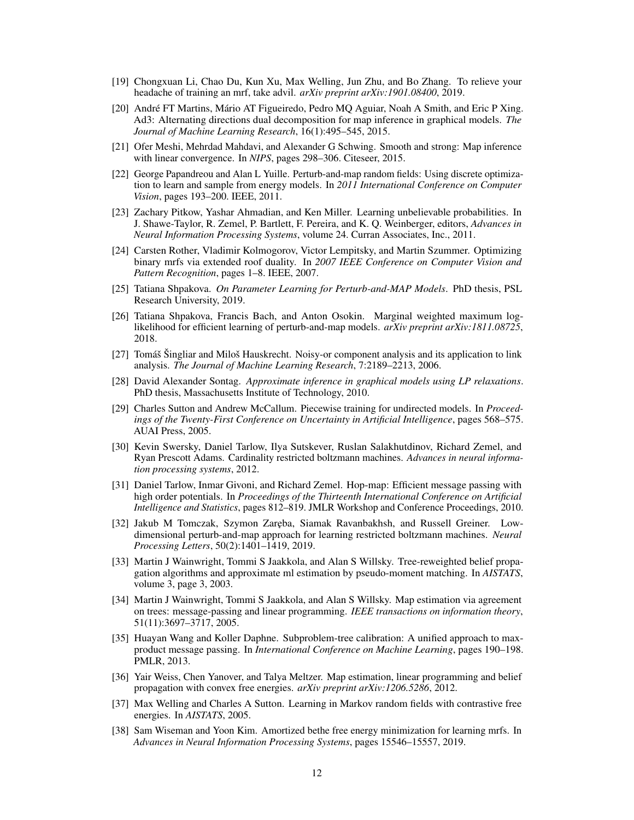- <span id="page-11-4"></span>[19] Chongxuan Li, Chao Du, Kun Xu, Max Welling, Jun Zhu, and Bo Zhang. To relieve your headache of training an mrf, take advil. *arXiv preprint arXiv:1901.08400*, 2019.
- <span id="page-11-9"></span>[20] André FT Martins, Mário AT Figueiredo, Pedro MQ Aguiar, Noah A Smith, and Eric P Xing. Ad3: Alternating directions dual decomposition for map inference in graphical models. *The Journal of Machine Learning Research*, 16(1):495–545, 2015.
- <span id="page-11-7"></span>[21] Ofer Meshi, Mehrdad Mahdavi, and Alexander G Schwing. Smooth and strong: Map inference with linear convergence. In *NIPS*, pages 298–306. Citeseer, 2015.
- <span id="page-11-5"></span>[22] George Papandreou and Alan L Yuille. Perturb-and-map random fields: Using discrete optimization to learn and sample from energy models. In *2011 International Conference on Computer Vision*, pages 193–200. IEEE, 2011.
- <span id="page-11-6"></span>[23] Zachary Pitkow, Yashar Ahmadian, and Ken Miller. Learning unbelievable probabilities. In J. Shawe-Taylor, R. Zemel, P. Bartlett, F. Pereira, and K. Q. Weinberger, editors, *Advances in Neural Information Processing Systems*, volume 24. Curran Associates, Inc., 2011.
- <span id="page-11-14"></span>[24] Carsten Rother, Vladimir Kolmogorov, Victor Lempitsky, and Martin Szummer. Optimizing binary mrfs via extended roof duality. In *2007 IEEE Conference on Computer Vision and Pattern Recognition*, pages 1–8. IEEE, 2007.
- <span id="page-11-13"></span>[25] Tatiana Shpakova. *On Parameter Learning for Perturb-and-MAP Models*. PhD thesis, PSL Research University, 2019.
- <span id="page-11-12"></span>[26] Tatiana Shpakova, Francis Bach, and Anton Osokin. Marginal weighted maximum loglikelihood for efficient learning of perturb-and-map models. *arXiv preprint arXiv:1811.08725*, 2018.
- <span id="page-11-18"></span>[27] Tomáš Šingliar and Miloš Hauskrecht. Noisy-or component analysis and its application to link analysis. *The Journal of Machine Learning Research*, 7:2189–2213, 2006.
- <span id="page-11-19"></span>[28] David Alexander Sontag. *Approximate inference in graphical models using LP relaxations*. PhD thesis, Massachusetts Institute of Technology, 2010.
- <span id="page-11-1"></span>[29] Charles Sutton and Andrew McCallum. Piecewise training for undirected models. In *Proceedings of the Twenty-First Conference on Uncertainty in Artificial Intelligence*, pages 568–575. AUAI Press, 2005.
- <span id="page-11-15"></span>[30] Kevin Swersky, Daniel Tarlow, Ilya Sutskever, Ruslan Salakhutdinov, Richard Zemel, and Ryan Prescott Adams. Cardinality restricted boltzmann machines. *Advances in neural information processing systems*, 2012.
- <span id="page-11-16"></span>[31] Daniel Tarlow, Inmar Givoni, and Richard Zemel. Hop-map: Efficient message passing with high order potentials. In *Proceedings of the Thirteenth International Conference on Artificial Intelligence and Statistics*, pages 812–819. JMLR Workshop and Conference Proceedings, 2010.
- <span id="page-11-17"></span>[32] Jakub M Tomczak, Szymon Zaręba, Siamak Ravanbakhsh, and Russell Greiner. Lowdimensional perturb-and-map approach for learning restricted boltzmann machines. *Neural Processing Letters*, 50(2):1401–1419, 2019.
- <span id="page-11-2"></span>[33] Martin J Wainwright, Tommi S Jaakkola, and Alan S Willsky. Tree-reweighted belief propagation algorithms and approximate ml estimation by pseudo-moment matching. In *AISTATS*, volume 3, page 3, 2003.
- <span id="page-11-10"></span>[34] Martin J Wainwright, Tommi S Jaakkola, and Alan S Willsky. Map estimation via agreement on trees: message-passing and linear programming. *IEEE transactions on information theory*, 51(11):3697–3717, 2005.
- <span id="page-11-8"></span>[35] Huayan Wang and Koller Daphne. Subproblem-tree calibration: A unified approach to maxproduct message passing. In *International Conference on Machine Learning*, pages 190–198. PMLR, 2013.
- <span id="page-11-11"></span>[36] Yair Weiss, Chen Yanover, and Talya Meltzer. Map estimation, linear programming and belief propagation with convex free energies. *arXiv preprint arXiv:1206.5286*, 2012.
- <span id="page-11-0"></span>[37] Max Welling and Charles A Sutton. Learning in Markov random fields with contrastive free energies. In *AISTATS*, 2005.
- <span id="page-11-3"></span>[38] Sam Wiseman and Yoon Kim. Amortized bethe free energy minimization for learning mrfs. In *Advances in Neural Information Processing Systems*, pages 15546–15557, 2019.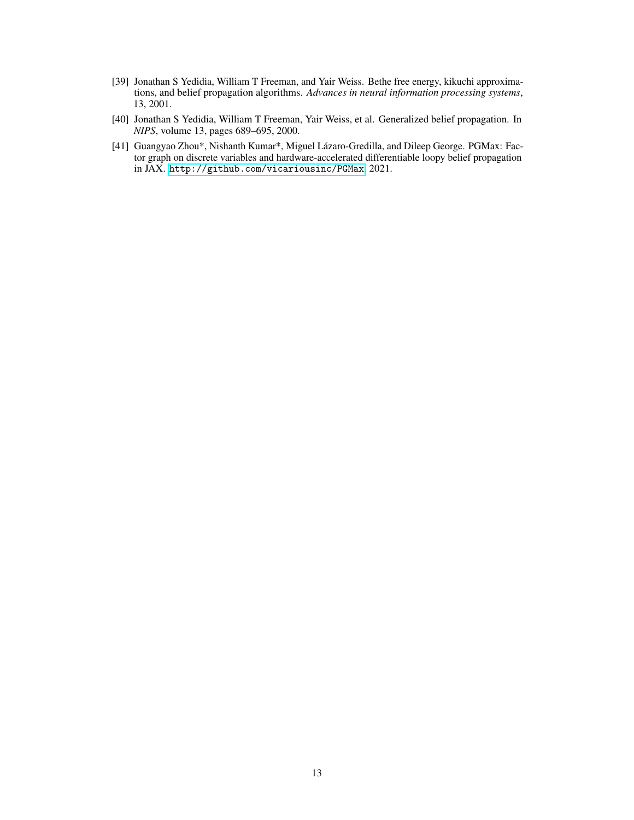- <span id="page-12-0"></span>[39] Jonathan S Yedidia, William T Freeman, and Yair Weiss. Bethe free energy, kikuchi approximations, and belief propagation algorithms. *Advances in neural information processing systems*, 13, 2001.
- <span id="page-12-1"></span>[40] Jonathan S Yedidia, William T Freeman, Yair Weiss, et al. Generalized belief propagation. In *NIPS*, volume 13, pages 689–695, 2000.
- <span id="page-12-2"></span>[41] Guangyao Zhou\*, Nishanth Kumar\*, Miguel Lázaro-Gredilla, and Dileep George. PGMax: Factor graph on discrete variables and hardware-accelerated differentiable loopy belief propagation in JAX. <http://github.com/vicariousinc/PGMax>, 2021.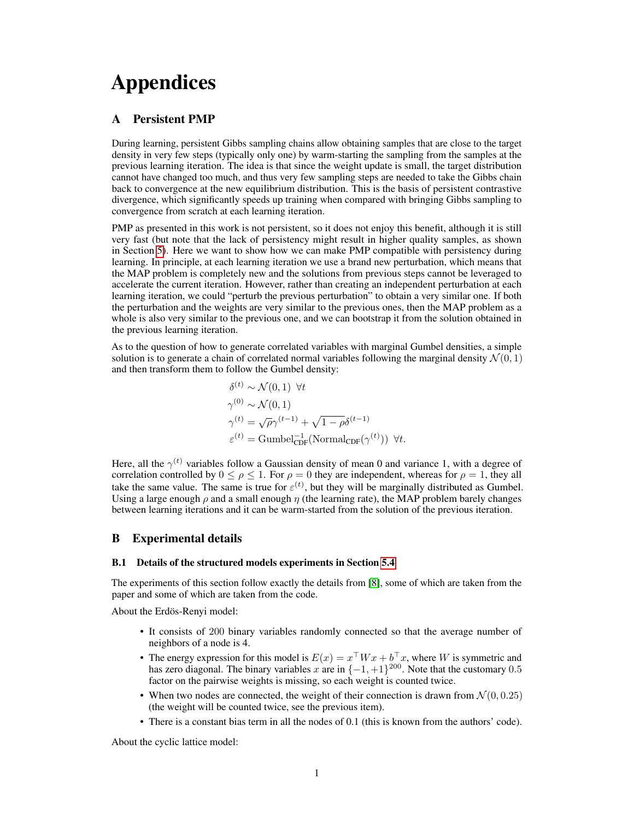# Appendices

# <span id="page-13-1"></span>A Persistent PMP

During learning, persistent Gibbs sampling chains allow obtaining samples that are close to the target density in very few steps (typically only one) by warm-starting the sampling from the samples at the previous learning iteration. The idea is that since the weight update is small, the target distribution cannot have changed too much, and thus very few sampling steps are needed to take the Gibbs chain back to convergence at the new equilibrium distribution. This is the basis of persistent contrastive divergence, which significantly speeds up training when compared with bringing Gibbs sampling to convergence from scratch at each learning iteration.

PMP as presented in this work is not persistent, so it does not enjoy this benefit, although it is still very fast (but note that the lack of persistency might result in higher quality samples, as shown in Section [5\)](#page-5-2). Here we want to show how we can make PMP compatible with persistency during learning. In principle, at each learning iteration we use a brand new perturbation, which means that the MAP problem is completely new and the solutions from previous steps cannot be leveraged to accelerate the current iteration. However, rather than creating an independent perturbation at each learning iteration, we could "perturb the previous perturbation" to obtain a very similar one. If both the perturbation and the weights are very similar to the previous ones, then the MAP problem as a whole is also very similar to the previous one, and we can bootstrap it from the solution obtained in the previous learning iteration.

As to the question of how to generate correlated variables with marginal Gumbel densities, a simple solution is to generate a chain of correlated normal variables following the marginal density  $\mathcal{N}(0, 1)$ and then transform them to follow the Gumbel density:

$$
\delta^{(t)} \sim \mathcal{N}(0, 1) \ \forall t
$$
  
\n
$$
\gamma^{(0)} \sim \mathcal{N}(0, 1)
$$
  
\n
$$
\gamma^{(t)} = \sqrt{\rho} \gamma^{(t-1)} + \sqrt{1 - \rho} \delta^{(t-1)}
$$
  
\n
$$
\varepsilon^{(t)} = \text{Gumbel}_{\text{CDF}}^{-1}(\text{Normal}_{\text{CDF}}(\gamma^{(t)})) \ \forall t.
$$

Here, all the  $\gamma^{(t)}$  variables follow a Gaussian density of mean 0 and variance 1, with a degree of correlation controlled by  $0 \le \rho \le 1$ . For  $\rho = 0$  they are independent, whereas for  $\rho = 1$ , they all take the same value. The same is true for  $\varepsilon^{(t)}$ , but they will be marginally distributed as Gumbel. Using a large enough  $\rho$  and a small enough  $\eta$  (the learning rate), the MAP problem barely changes between learning iterations and it can be warm-started from the solution of the previous iteration.

# <span id="page-13-0"></span>B Experimental details

#### B.1 Details of the structured models experiments in Section [5.4](#page-6-2)

The experiments of this section follow exactly the details from [\[8\]](#page-10-6), some of which are taken from the paper and some of which are taken from the code.

About the Erdös-Renyi model:

- It consists of 200 binary variables randomly connected so that the average number of neighbors of a node is 4.
- The energy expression for this model is  $E(x) = x^{\top}Wx + b^{\top}x$ , where W is symmetric and has zero diagonal. The binary variables x are in  $\{-1, +1\}^{200}$ . Note that the customary 0.5 factor on the pairwise weights is missing, so each weight is counted twice.
- When two nodes are connected, the weight of their connection is drawn from  $\mathcal{N}(0, 0.25)$ (the weight will be counted twice, see the previous item).
- There is a constant bias term in all the nodes of 0.1 (this is known from the authors' code).

About the cyclic lattice model: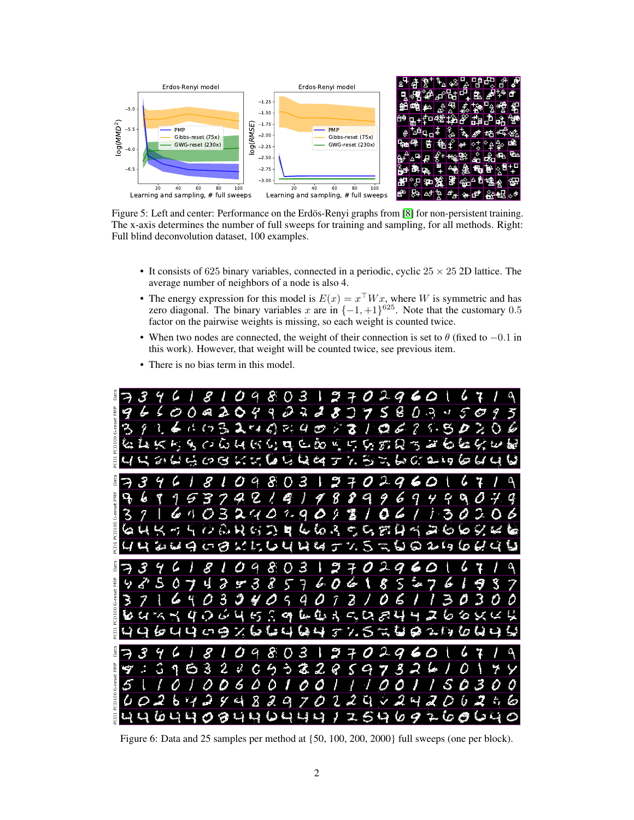<span id="page-14-0"></span>

Figure 5: Left and center: Performance on the Erdös-Renyi graphs from [\[8\]](#page-10-6) for non-persistent training. The x-axis determines the number of full sweeps for training and sampling, for all methods. Right: Full blind deconvolution dataset, 100 examples.

- It consists of 625 binary variables, connected in a periodic, cyclic  $25 \times 25$  2D lattice. The average number of neighbors of a node is also 4.
- The energy expression for this model is  $E(x) = x^{\top} W x$ , where W is symmetric and has zero diagonal. The binary variables x are in  $\{-1, +1\}^{625}$ . Note that the customary 0.5 factor on the pairwise weights is missing, so each weight is counted twice.
- When two nodes are connected, the weight of their connection is set to  $\theta$  (fixed to  $-0.1$  in this work). However, that weight will be counted twice, see previous item.
- There is no bias term in this model.

<span id="page-14-1"></span>

Figure 6: Data and 25 samples per method at {50, 100, 200, 2000} full sweeps (one per block).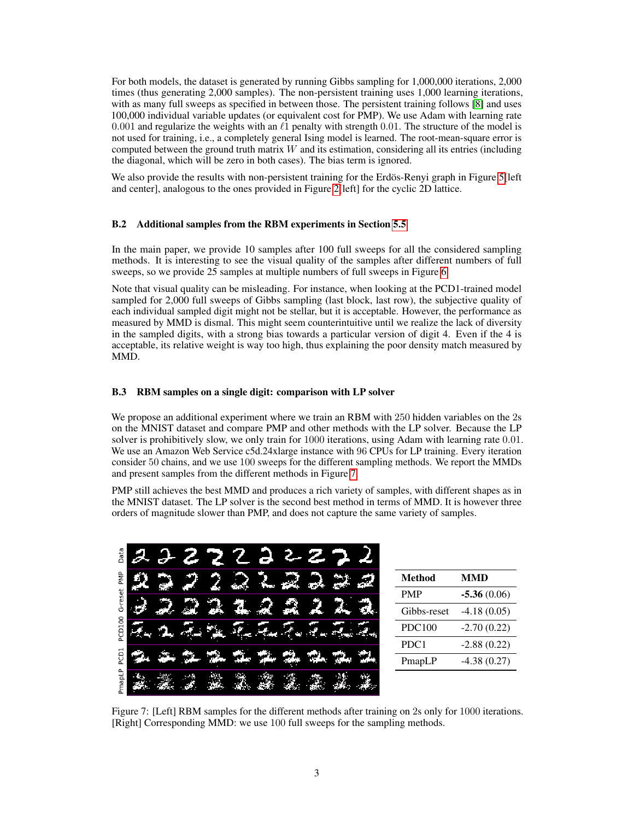For both models, the dataset is generated by running Gibbs sampling for 1,000,000 iterations, 2,000 times (thus generating 2,000 samples). The non-persistent training uses 1,000 learning iterations, with as many full sweeps as specified in between those. The persistent training follows [\[8\]](#page-10-6) and uses 100,000 individual variable updates (or equivalent cost for PMP). We use Adam with learning rate 0.001 and regularize the weights with an  $\ell_1$  penalty with strength 0.01. The structure of the model is not used for training, i.e., a completely general Ising model is learned. The root-mean-square error is computed between the ground truth matrix  $W$  and its estimation, considering all its entries (including the diagonal, which will be zero in both cases). The bias term is ignored.

We also provide the results with non-persistent training for the Erdös-Renyi graph in Figure [5\[](#page-14-0)left] and center], analogous to the ones provided in Figure [2\[](#page-7-0)left] for the cyclic 2D lattice.

# <span id="page-15-0"></span>B.2 Additional samples from the RBM experiments in Section [5.5](#page-7-1)

In the main paper, we provide 10 samples after 100 full sweeps for all the considered sampling methods. It is interesting to see the visual quality of the samples after different numbers of full sweeps, so we provide 25 samples at multiple numbers of full sweeps in Figure [6.](#page-14-1)

Note that visual quality can be misleading. For instance, when looking at the PCD1-trained model sampled for 2,000 full sweeps of Gibbs sampling (last block, last row), the subjective quality of each individual sampled digit might not be stellar, but it is acceptable. However, the performance as measured by MMD is dismal. This might seem counterintuitive until we realize the lack of diversity in the sampled digits, with a strong bias towards a particular version of digit 4. Even if the 4 is acceptable, its relative weight is way too high, thus explaining the poor density match measured by MMD.

#### <span id="page-15-1"></span>B.3 RBM samples on a single digit: comparison with LP solver

We propose an additional experiment where we train an RBM with 250 hidden variables on the 2s on the MNIST dataset and compare PMP and other methods with the LP solver. Because the LP solver is prohibitively slow, we only train for 1000 iterations, using Adam with learning rate 0.01. We use an Amazon Web Service c5d.24xlarge instance with 96 CPUs for LP training. Every iteration consider 50 chains, and we use 100 sweeps for the different sampling methods. We report the MMDs and present samples from the different methods in Figure [7.](#page-15-2)

PMP still achieves the best MMD and produces a rich variety of samples, with different shapes as in the MNIST dataset. The LP solver is the second best method in terms of MMD. It is however three orders of magnitude slower than PMP, and does not capture the same variety of samples.

<span id="page-15-2"></span>

| Data                                                    |   |    |  | F. | 凄 |  |  |               |               |
|---------------------------------------------------------|---|----|--|----|---|--|--|---------------|---------------|
| e<br>Ng                                                 | æ |    |  |    |   |  |  | <b>Method</b> | <b>MMD</b>    |
| reset<br>Ó<br>8<br>PCD <sub>3</sub><br>PCD <sub>1</sub> |   |    |  |    |   |  |  | <b>PMP</b>    | $-5.36(0.06)$ |
|                                                         |   | Æ. |  |    |   |  |  | Gibbs-reset   | $-4.18(0.05)$ |
|                                                         |   |    |  |    |   |  |  | <b>PDC100</b> | $-2.70(0.22)$ |
|                                                         |   |    |  |    |   |  |  | PDC1          | $-2.88(0.22)$ |
|                                                         |   |    |  |    |   |  |  | PmapLP        | $-4.38(0.27)$ |
| napLP<br><sub>n</sub>                                   |   |    |  |    |   |  |  |               |               |

Figure 7: [Left] RBM samples for the different methods after training on 2s only for 1000 iterations. [Right] Corresponding MMD: we use 100 full sweeps for the sampling methods.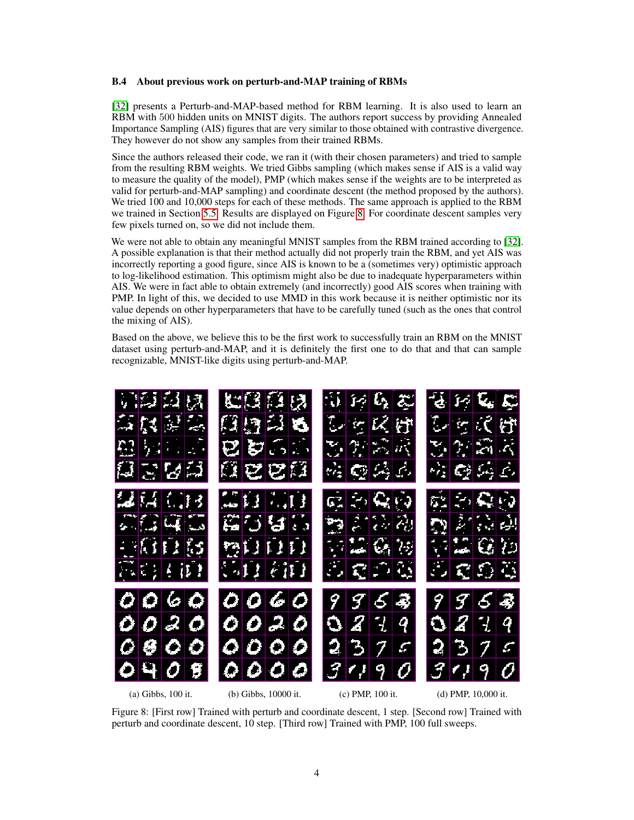## <span id="page-16-0"></span>B.4 About previous work on perturb-and-MAP training of RBMs

[\[32\]](#page-11-17) presents a Perturb-and-MAP-based method for RBM learning. It is also used to learn an RBM with 500 hidden units on MNIST digits. The authors report success by providing Annealed Importance Sampling (AIS) figures that are very similar to those obtained with contrastive divergence. They however do not show any samples from their trained RBMs.

Since the authors released their code, we ran it (with their chosen parameters) and tried to sample from the resulting RBM weights. We tried Gibbs sampling (which makes sense if AIS is a valid way to measure the quality of the model), PMP (which makes sense if the weights are to be interpreted as valid for perturb-and-MAP sampling) and coordinate descent (the method proposed by the authors). We tried 100 and 10,000 steps for each of these methods. The same approach is applied to the RBM we trained in Section [5.5.](#page-7-1) Results are displayed on Figure [8.](#page-16-1) For coordinate descent samples very few pixels turned on, so we did not include them.

We were not able to obtain any meaningful MNIST samples from the RBM trained according to [\[32\]](#page-11-17). A possible explanation is that their method actually did not properly train the RBM, and yet AIS was incorrectly reporting a good figure, since AIS is known to be a (sometimes very) optimistic approach to log-likelihood estimation. This optimism might also be due to inadequate hyperparameters within AIS. We were in fact able to obtain extremely (and incorrectly) good AIS scores when training with PMP. In light of this, we decided to use MMD in this work because it is neither optimistic nor its value depends on other hyperparameters that have to be carefully tuned (such as the ones that control the mixing of AIS).

Based on the above, we believe this to be the first work to successfully train an RBM on the MNIST dataset using perturb-and-MAP, and it is definitely the first one to do that and that can sample recognizable, MNIST-like digits using perturb-and-MAP.

<span id="page-16-1"></span>

Figure 8: [First row] Trained with perturb and coordinate descent, 1 step. [Second row] Trained with perturb and coordinate descent, 10 step. [Third row] Trained with PMP, 100 full sweeps.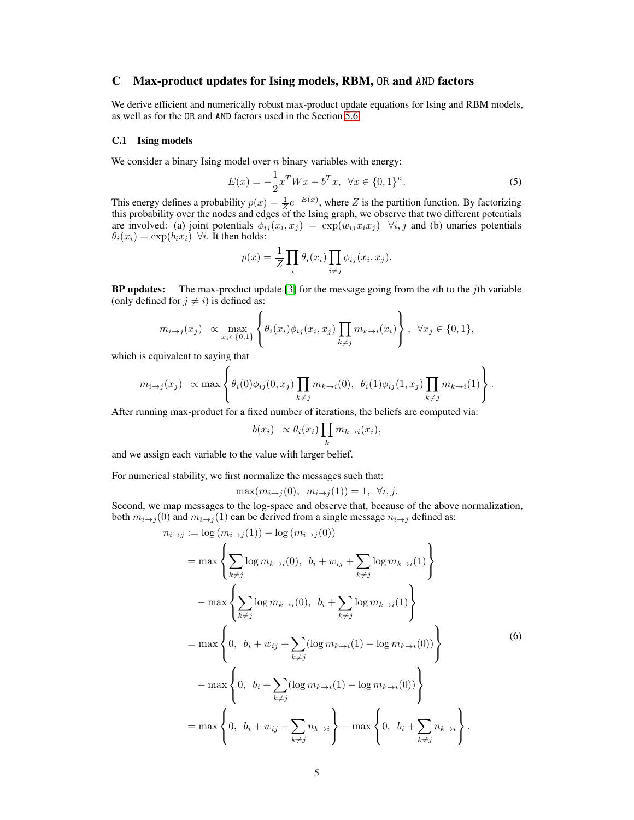# <span id="page-17-0"></span>C Max-product updates for Ising models, RBM, OR and AND factors

We derive efficient and numerically robust max-product update equations for Ising and RBM models, as well as for the OR and AND factors used in the Section [5.6.](#page-8-0)

#### C.1 Ising models

We consider a binary Ising model over  $n$  binary variables with energy:

<span id="page-17-2"></span>
$$
E(x) = -\frac{1}{2}x^T W x - b^T x, \ \forall x \in \{0, 1\}^n.
$$
 (5)

This energy defines a probability  $p(x) = \frac{1}{Z}e^{-E(x)}$ , where Z is the partition function. By factorizing this probability over the nodes and edges of the Ising graph, we observe that two different potentials are involved: (a) joint potentials  $\phi_{ij}(x_i, x_j) = \exp(w_{ij} x_i x_j)$   $\forall i, j$  and (b) unaries potentials  $\theta_i(x_i) = \exp(b_i x_i)$   $\forall i$ . It then holds:

$$
p(x) = \frac{1}{Z} \prod_i \theta_i(x_i) \prod_{i \neq j} \phi_{ij}(x_i, x_j).
$$

**BP updates:** The max-product update [\[3\]](#page-10-17) for the message going from the *i*th to the *j*th variable (only defined for  $j \neq i$ ) is defined as:

$$
m_{i\to j}(x_j) \propto \max_{x_i \in \{0,1\}} \left\{ \theta_i(x_i) \phi_{ij}(x_i, x_j) \prod_{k \neq j} m_{k \to i}(x_i) \right\}, \ \forall x_j \in \{0,1\},\
$$

which is equivalent to saying that

$$
m_{i\to j}(x_j) \propto \max\left\{\theta_i(0)\phi_{ij}(0,x_j)\prod_{k\neq j}m_{k\to i}(0), \ \theta_i(1)\phi_{ij}(1,x_j)\prod_{k\neq j}m_{k\to i}(1)\right\}.
$$

After running max-product for a fixed number of iterations, the beliefs are computed via:

$$
b(x_i) \propto \theta_i(x_i) \prod_k m_{k \to i}(x_i),
$$

and we assign each variable to the value with larger belief.

For numerical stability, we first normalize the messages such that:

<span id="page-17-1"></span> $\max(m_{i\to i}(0), m_{i\to i}(1)) = 1, \forall i, j.$ 

Second, we map messages to the log-space and observe that, because of the above normalization, both  $m_{i\rightarrow j}(0)$  and  $m_{i\rightarrow j}(1)$  can be derived from a single message  $n_{i\rightarrow j}$  defined as:

$$
n_{i \to j} := \log(m_{i \to j}(1)) - \log(m_{i \to j}(0))
$$
  
\n
$$
= \max \left\{ \sum_{k \ne j} \log m_{k \to i}(0), \ b_i + w_{ij} + \sum_{k \ne j} \log m_{k \to i}(1) \right\}
$$
  
\n
$$
- \max \left\{ \sum_{k \ne j} \log m_{k \to i}(0), \ b_i + \sum_{k \ne j} \log m_{k \to i}(1) \right\}
$$
  
\n
$$
= \max \left\{ 0, \ b_i + w_{ij} + \sum_{k \ne j} (\log m_{k \to i}(1) - \log m_{k \to i}(0)) \right\}
$$
  
\n
$$
- \max \left\{ 0, \ b_i + \sum_{k \ne j} (\log m_{k \to i}(1) - \log m_{k \to i}(0)) \right\}
$$
  
\n
$$
= \max \left\{ 0, \ b_i + w_{ij} + \sum_{k \ne j} n_{k \to i} \right\} - \max \left\{ 0, \ b_i + \sum_{k \ne j} n_{k \to i} \right\}.
$$
 (6)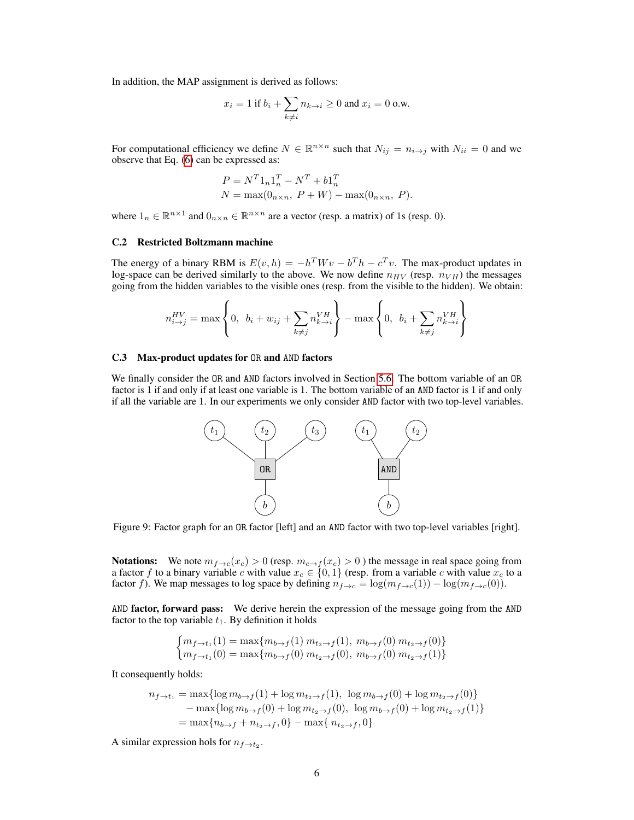In addition, the MAP assignment is derived as follows:

$$
x_i = 1 \text{ if } b_i + \sum_{k \neq i} n_{k \to i} \ge 0 \text{ and } x_i = 0 \text{ o.w.}
$$

For computational efficiency we define  $N \in \mathbb{R}^{n \times n}$  such that  $N_{ij} = n_{i \to j}$  with  $N_{ii} = 0$  and we observe that Eq. [\(6\)](#page-17-1) can be expressed as:

$$
P = N^{T}1_{n}1_{n}^{T} - N^{T} + b1_{n}^{T}
$$
  

$$
N = \max(0_{n \times n}, P + W) - \max(0_{n \times n}, P).
$$

where  $1_n \in \mathbb{R}^{n \times 1}$  and  $0_{n \times n} \in \mathbb{R}^{n \times n}$  are a vector (resp. a matrix) of 1s (resp. 0).

#### C.2 Restricted Boltzmann machine

The energy of a binary RBM is  $E(v, h) = -h^T W v - b^T h - c^T v$ . The max-product updates in log-space can be derived similarly to the above. We now define  $n_{HV}$  (resp.  $n_{VH}$ ) the messages going from the hidden variables to the visible ones (resp. from the visible to the hidden). We obtain:

$$
n_{i\to j}^{HV} = \max\left\{0, b_i + w_{ij} + \sum_{k\neq j} n_{k\to i}^{VH}\right\} - \max\left\{0, b_i + \sum_{k\neq j} n_{k\to i}^{VH}\right\}
$$

#### C.3 Max-product updates for OR and AND factors

We finally consider the OR and AND factors involved in Section [5.6.](#page-8-0) The bottom variable of an OR factor is 1 if and only if at least one variable is 1. The bottom variable of an AND factor is 1 if and only if all the variable are 1. In our experiments we only consider AND factor with two top-level variables.



Figure 9: Factor graph for an OR factor [left] and an AND factor with two top-level variables [right].

**Notations:** We note  $m_{f\to c}(x_c) > 0$  (resp.  $m_{c\to f}(x_c) > 0$ ) the message in real space going from a factor f to a binary variable c with value  $x_c \in \{0,1\}$  (resp. from a variable c with value  $x_c$  to a factor f). We map messages to log space by defining  $n_{f\to c} = \log(m_{f\to c}(1)) - \log(m_{f\to c}(0))$ .

AND factor, forward pass: We derive herein the expression of the message going from the AND factor to the top variable  $t_1$ . By definition it holds

$$
\begin{cases} m_{f \to t_1}(1) = \max\{m_{b \to f}(1) \ m_{t_2 \to f}(1), \ m_{b \to f}(0) \ m_{t_2 \to f}(0)\} \\ m_{f \to t_1}(0) = \max\{m_{b \to f}(0) \ m_{t_2 \to f}(0), \ m_{b \to f}(0) \ m_{t_2 \to f}(1)\} \end{cases}
$$

It consequently holds:

$$
n_{f \to t_1} = \max\{\log m_{b \to f}(1) + \log m_{t_2 \to f}(1), \log m_{b \to f}(0) + \log m_{t_2 \to f}(0)\}\
$$
  
- 
$$
\max\{\log m_{b \to f}(0) + \log m_{t_2 \to f}(0), \log m_{b \to f}(0) + \log m_{t_2 \to f}(1)\}\
$$
  
= 
$$
\max\{n_{b \to f} + n_{t_2 \to f}, 0\} - \max\{n_{t_2 \to f}, 0\}
$$

A similar expression hols for  $n_{f \to t_2}$ .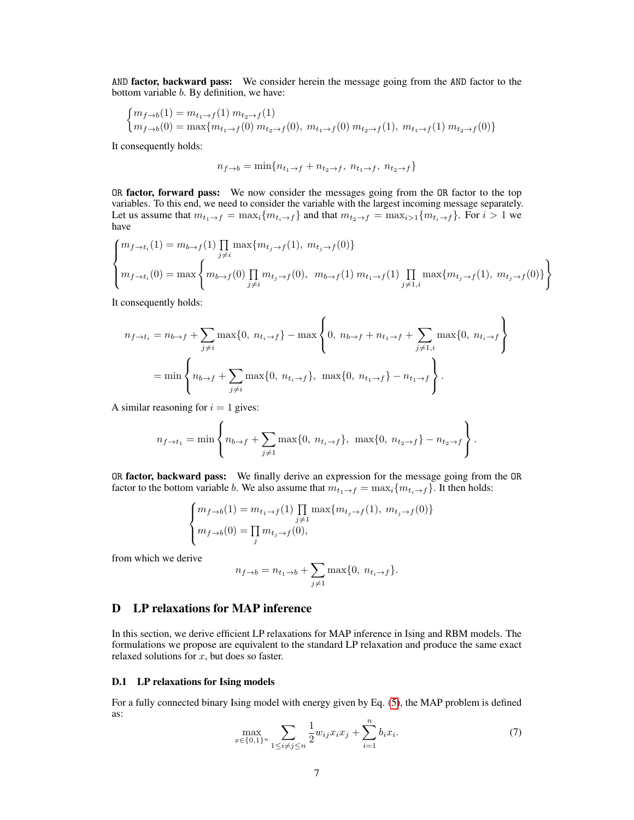AND **factor, backward pass:** We consider herein the message going from the AND factor to the bottom variable b. By definition, we have:

$$
\begin{cases} m_{f \to b}(1) = m_{t_1 \to f}(1) m_{t_2 \to f}(1) \\ m_{f \to b}(0) = \max\{m_{t_1 \to f}(0) m_{t_2 \to f}(0), m_{t_1 \to f}(0) m_{t_2 \to f}(1), m_{t_1 \to f}(1) m_{t_2 \to f}(0)\}\end{cases}
$$

It consequently holds:

$$
n_{f \to b} = \min\{n_{t_1 \to f} + n_{t_2 \to f}, n_{t_1 \to f}, n_{t_2 \to f}\}
$$

OR factor, forward pass: We now consider the messages going from the OR factor to the top variables. To this end, we need to consider the variable with the largest incoming message separately. Let us assume that  $m_{t_1\to f} = \max_i \{m_{t_i\to f}\}\$  and that  $m_{t_2\to f} = \max_{i>1} \{m_{t_i\to f}\}\$ . For  $i > 1$  we have

$$
\begin{cases} m_{f \to t_i}(1) = m_{b \to f}(1) \prod_{j \neq i} \max\{m_{t_j \to f}(1), m_{t_j \to f}(0)\} \\ m_{f \to t_i}(0) = \max\left\{m_{b \to f}(0) \prod_{j \neq i} m_{t_j \to f}(0), m_{b \to f}(1) m_{t_1 \to f}(1) \prod_{j \neq 1, i} \max\{m_{t_j \to f}(1), m_{t_j \to f}(0)\}\right\} \end{cases}
$$

It consequently holds:

$$
n_{f \to t_i} = n_{b \to f} + \sum_{j \neq i} \max\{0, n_{t_i \to f}\} - \max\left\{0, n_{b \to f} + n_{t_1 \to f} + \sum_{j \neq 1, i} \max\{0, n_{t_i \to f}\}\right\}
$$
  
= 
$$
\min\left\{n_{b \to f} + \sum_{j \neq i} \max\{0, n_{t_i \to f}\}, \max\{0, n_{t_1 \to f}\} - n_{t_1 \to f}\right\}.
$$

A similar reasoning for  $i = 1$  gives:

$$
n_{f \to t_1} = \min \left\{ n_{b \to f} + \sum_{j \neq 1} \max\{0, n_{t_i \to f}\}, \max\{0, n_{t_2 \to f}\} - n_{t_2 \to f} \right\}.
$$

OR factor, backward pass: We finally derive an expression for the message going from the OR factor to the bottom variable b. We also assume that  $m_{t_1 \to f} = \max_i \{m_{t_i \to f}\}.$  It then holds:

$$
\begin{cases} m_{f \to b}(1) = m_{t_1 \to f}(1) \prod_{j \neq 1} \max\{m_{t_j \to f}(1), m_{t_j \to f}(0)\} \\ m_{f \to b}(0) = \prod_j m_{t_j \to f}(0), \end{cases}
$$

from which we derive

$$
n_{f \to b} = n_{t_1 \to b} + \sum_{j \neq 1} \max\{0, n_{t_i \to f}\}.
$$

# <span id="page-19-0"></span>D LP relaxations for MAP inference

In this section, we derive efficient LP relaxations for MAP inference in Ising and RBM models. The formulations we propose are equivalent to the standard LP relaxation and produce the same exact relaxed solutions for  $x$ , but does so faster.

#### D.1 LP relaxations for Ising models

<span id="page-19-1"></span>For a fully connected binary Ising model with energy given by Eq. [\(5\)](#page-17-2), the MAP problem is defined as:

$$
\max_{x \in \{0,1\}^n} \sum_{1 \le i \ne j \le n} \frac{1}{2} w_{ij} x_i x_j + \sum_{i=1}^n b_i x_i.
$$
 (7)